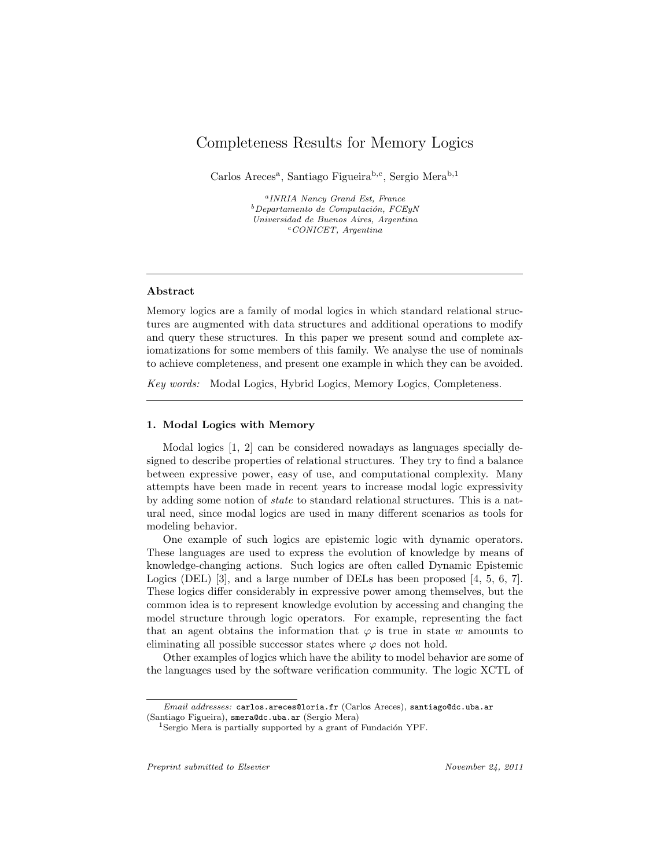# Completeness Results for Memory Logics

Carlos Areces<sup>a</sup>, Santiago Figueira<sup>b,c</sup>, Sergio Mera<sup>b,1</sup>

a INRIA Nancy Grand Est, France  $b$ Departamento de Computación, FCEyN Universidad de Buenos Aires, Argentina  $c$ CONICET, Argentina

#### Abstract

Memory logics are a family of modal logics in which standard relational structures are augmented with data structures and additional operations to modify and query these structures. In this paper we present sound and complete axiomatizations for some members of this family. We analyse the use of nominals to achieve completeness, and present one example in which they can be avoided.

Key words: Modal Logics, Hybrid Logics, Memory Logics, Completeness.

#### 1. Modal Logics with Memory

Modal logics [1, 2] can be considered nowadays as languages specially designed to describe properties of relational structures. They try to find a balance between expressive power, easy of use, and computational complexity. Many attempts have been made in recent years to increase modal logic expressivity by adding some notion of state to standard relational structures. This is a natural need, since modal logics are used in many different scenarios as tools for modeling behavior.

One example of such logics are epistemic logic with dynamic operators. These languages are used to express the evolution of knowledge by means of knowledge-changing actions. Such logics are often called Dynamic Epistemic Logics (DEL) [3], and a large number of DELs has been proposed [4, 5, 6, 7]. These logics differ considerably in expressive power among themselves, but the common idea is to represent knowledge evolution by accessing and changing the model structure through logic operators. For example, representing the fact that an agent obtains the information that  $\varphi$  is true in state w amounts to eliminating all possible successor states where  $\varphi$  does not hold.

Other examples of logics which have the ability to model behavior are some of the languages used by the software verification community. The logic XCTL of

Email addresses: carlos.areces@loria.fr (Carlos Areces), santiago@dc.uba.ar (Santiago Figueira), smera@dc.uba.ar (Sergio Mera)

 $1$ Sergio Mera is partially supported by a grant of Fundación YPF.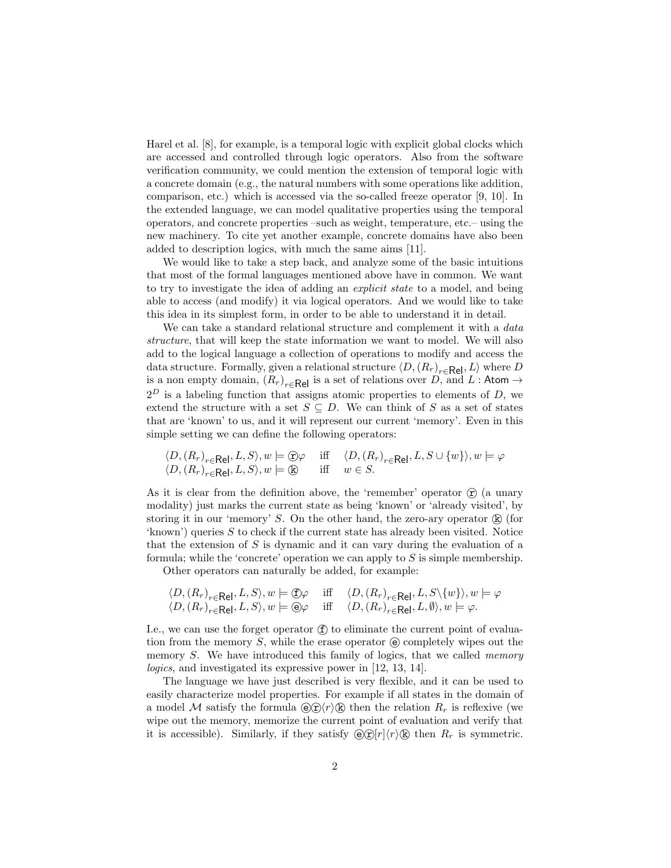Harel et al. [8], for example, is a temporal logic with explicit global clocks which are accessed and controlled through logic operators. Also from the software verification community, we could mention the extension of temporal logic with a concrete domain (e.g., the natural numbers with some operations like addition, comparison, etc.) which is accessed via the so-called freeze operator [9, 10]. In the extended language, we can model qualitative properties using the temporal operators, and concrete properties –such as weight, temperature, etc.– using the new machinery. To cite yet another example, concrete domains have also been added to description logics, with much the same aims [11].

We would like to take a step back, and analyze some of the basic intuitions that most of the formal languages mentioned above have in common. We want to try to investigate the idea of adding an explicit state to a model, and being able to access (and modify) it via logical operators. And we would like to take this idea in its simplest form, in order to be able to understand it in detail.

We can take a standard relational structure and complement it with a *data* structure, that will keep the state information we want to model. We will also add to the logical language a collection of operations to modify and access the data structure. Formally, given a relational structure  $\langle D, (R_r)_{r \in \text{Rel}}, L \rangle$  where D is a non empty domain,  $(R_r)_{r \in \mathsf{Rel}}$  is a set of relations over D, and L : Atom  $\rightarrow$  $2^D$  is a labeling function that assigns atomic properties to elements of D, we extend the structure with a set  $S \subseteq D$ . We can think of S as a set of states that are 'known' to us, and it will represent our current 'memory'. Even in this simple setting we can define the following operators:

$$
\langle D, (R_r)_{r \in \text{Rel}}, L, S \rangle, w \models \text{C} \varphi \quad \text{iff} \quad \langle D, (R_r)_{r \in \text{Rel}}, L, S \cup \{w\} \rangle, w \models \varphi \langle D, (R_r)_{r \in \text{Rel}}, L, S \rangle, w \models \text{C} \quad \text{iff} \quad w \in S.
$$

As it is clear from the definition above, the 'remember' operator  $\hat{\tau}$  (a unary modality) just marks the current state as being 'known' or 'already visited', by storing it in our 'memory'  $S$ . On the other hand, the zero-ary operator  $\mathbb{R}$  (for 'known') queries  $S$  to check if the current state has already been visited. Notice that the extension of  $S$  is dynamic and it can vary during the evaluation of a formula; while the 'concrete' operation we can apply to  $S$  is simple membership.

Other operators can naturally be added, for example:

$$
\langle D, (R_r)_{r \in \text{Rel}}, L, S \rangle, w \models \text{f} \varphi \quad \text{iff} \quad \langle D, (R_r)_{r \in \text{Rel}}, L, S \setminus \{w\} \rangle, w \models \varphi
$$
  

$$
\langle D, (R_r)_{r \in \text{Rel}}, L, S \rangle, w \models \text{f} \varphi \quad \text{iff} \quad \langle D, (R_r)_{r \in \text{Rel}}, L, \emptyset \rangle, w \models \varphi.
$$

I.e., we can use the forget operator  $(f)$  to eliminate the current point of evaluation from the memory S, while the erase operator  $\Theta$  completely wipes out the memory  $S$ . We have introduced this family of logics, that we called *memory* logics, and investigated its expressive power in [12, 13, 14].

The language we have just described is very flexible, and it can be used to easily characterize model properties. For example if all states in the domain of a model M satisfy the formula  $\Theta(\hat{\mathbf{r}})$  ( $\hat{\mathbf{k}}$ ) then the relation  $R_r$  is reflexive (we wipe out the memory, memorize the current point of evaluation and verify that it is accessible). Similarly, if they satisfy  $\Theta(\hat{\mathbf{r}})[r]\langle r\rangle(\hat{\mathbf{k}})$  then  $R_r$  is symmetric.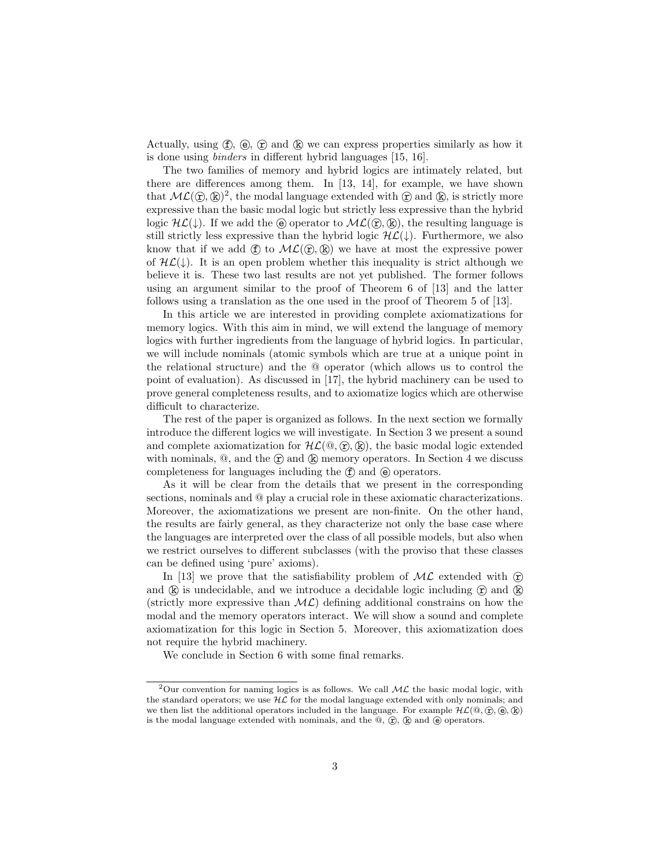Actually, using  $(f)$ ,  $(g)$ ,  $(g)$  and  $(g)$  we can express properties similarly as how it is done using binders in different hybrid languages [15, 16].

The two families of memory and hybrid logics are intimately related, but there are differences among them. In [13, 14], for example, we have shown that  $ML(\mathcal{D}, \mathbb{R})^2$ , the modal language extended with  $\mathcal{D}$  and  $\mathbb{R}$ , is strictly more expressive than the basic modal logic but strictly less expressive than the hybrid logic  $H\mathcal{L}(\downarrow)$ . If we add the  $\Theta$  operator to  $\mathcal{ML}(\widehat{\mathbf{r}},\widehat{\mathbf{k}})$ , the resulting language is still strictly less expressive than the hybrid logic  $H\mathcal{L}(\downarrow)$ . Furthermore, we also know that if we add  $(f)$  to  $ML(f, k)$  we have at most the expressive power of  $H\mathcal{L}(\downarrow)$ . It is an open problem whether this inequality is strict although we believe it is. These two last results are not yet published. The former follows using an argument similar to the proof of Theorem 6 of [13] and the latter follows using a translation as the one used in the proof of Theorem 5 of [13].

In this article we are interested in providing complete axiomatizations for memory logics. With this aim in mind, we will extend the language of memory logics with further ingredients from the language of hybrid logics. In particular, we will include nominals (atomic symbols which are true at a unique point in the relational structure) and the @ operator (which allows us to control the point of evaluation). As discussed in [17], the hybrid machinery can be used to prove general completeness results, and to axiomatize logics which are otherwise difficult to characterize.

The rest of the paper is organized as follows. In the next section we formally introduce the different logics we will investigate. In Section 3 we present a sound and complete axiomatization for  $\mathcal{HL}(\mathbb{Q}, \mathbb{F}, \mathbb{R})$ , the basic modal logic extended with nominals,  $\mathcal{Q}$ , and the  $\hat{r}$  and  $\hat{k}$  memory operators. In Section 4 we discuss completeness for languages including the  $(f)$  and  $(g)$  operators.

As it will be clear from the details that we present in the corresponding sections, nominals and @ play a crucial role in these axiomatic characterizations. Moreover, the axiomatizations we present are non-finite. On the other hand, the results are fairly general, as they characterize not only the base case where the languages are interpreted over the class of all possible models, but also when we restrict ourselves to different subclasses (with the proviso that these classes can be defined using 'pure' axioms).

In [13] we prove that the satisfiability problem of  $ML$  extended with  $\hat{\mathcal{L}}$ and  $(\mathbf{k})$  is undecidable, and we introduce a decidable logic including  $(\mathbf{\hat{r}})$  and  $(\mathbf{k})$ (strictly more expressive than  $ML$ ) defining additional constrains on how the modal and the memory operators interact. We will show a sound and complete axiomatization for this logic in Section 5. Moreover, this axiomatization does not require the hybrid machinery.

We conclude in Section 6 with some final remarks.

<sup>&</sup>lt;sup>2</sup>Our convention for naming logics is as follows. We call  $ML$  the basic modal logic, with the standard operators; we use  $H\mathcal{L}$  for the modal language extended with only nominals; and we then list the additional operators included in the language. For example  $HL(\mathbb{Q}, \mathbb{Q}, \mathbb{Q}, \mathbb{Q})$ is the modal language extended with nominals, and the  $\mathbb{Q}$ ,  $(\hat{\mathbf{r}})$ ,  $(\hat{\mathbf{k}})$  and  $(\hat{\mathbf{e}})$  operators.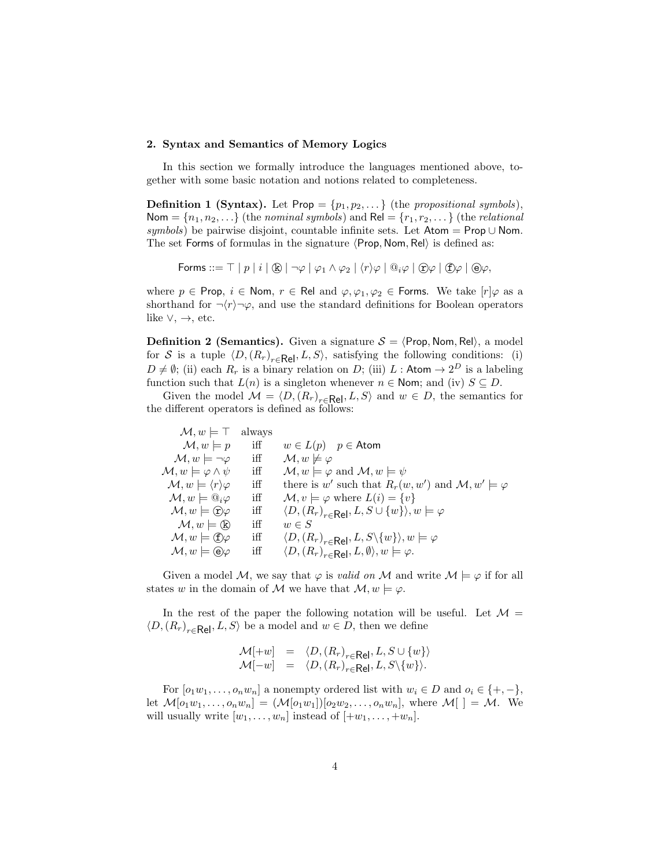### 2. Syntax and Semantics of Memory Logics

In this section we formally introduce the languages mentioned above, together with some basic notation and notions related to completeness.

**Definition 1 (Syntax).** Let  $Prop = \{p_1, p_2, ...\}$  (the propositional symbols), Nom =  $\{n_1, n_2, ...\}$  (the nominal symbols) and ReI =  $\{r_1, r_2, ...\}$  (the relational symbols) be pairwise disjoint, countable infinite sets. Let Atom =  $Prop \cup N$ om. The set Forms of formulas in the signature  $\langle$ Prop, Nom, Rel $\rangle$  is defined as:

Forms ::=  $\top | p | i | (\mathbb{R}) | \neg \varphi | \varphi_1 \wedge \varphi_2 | \langle r \rangle \varphi | \mathbb{Q}_i \varphi | (\hat{r}) \varphi | (\hat{r}) \varphi | (\hat{r}) \varphi$ 

where  $p \in \text{Prop}, i \in \text{Nom}, r \in \text{Rel}$  and  $\varphi, \varphi_1, \varphi_2 \in \text{Forms. We take } [r] \varphi$  as a shorthand for  $\neg \langle r \rangle \neg \varphi$ , and use the standard definitions for Boolean operators like  $\vee, \rightarrow,$  etc.

**Definition 2 (Semantics).** Given a signature  $S = \langle Prop, Nom, Rel \rangle$ , a model for S is a tuple  $\langle D, (R_r)_{r \in \mathsf{Rel}}, L, S \rangle$ , satisfying the following conditions: (i)  $D \neq \emptyset$ ; (ii) each  $R_r$  is a binary relation on D; (iii) L: Atom  $\rightarrow 2^D$  is a labeling function such that  $L(n)$  is a singleton whenever  $n \in \mathsf{Nom}$ ; and (iv)  $S \subseteq D$ .

Given the model  $M = \langle D, (R_r)_{r \in \mathsf{Rel}}, L, S \rangle$  and  $w \in D$ , the semantics for the different operators is defined as follows:

| $\mathcal{M}, w \models \top$ always |                                                                                          |
|--------------------------------------|------------------------------------------------------------------------------------------|
| iff                                  | $w \in L(p)$ $p \in$ Atom                                                                |
| iff                                  | $\mathcal{M}, w \not\models \varphi$                                                     |
| iff                                  | $\mathcal{M}, w \models \varphi \text{ and } \mathcal{M}, w \models \psi$                |
| iff                                  | there is w' such that $R_r(w, w')$ and $\mathcal{M}, w' \models \varphi$                 |
| iff                                  | $\mathcal{M}, v \models \varphi$ where $L(i) = \{v\}$                                    |
| iff                                  | $\langle D, (R_r)_{r \in \mathsf{Rel}}, L, S \cup \{w\} \rangle, w \models \varphi$      |
| iff                                  | $w \in S$                                                                                |
| iff                                  | $\langle D, (R_r)_{r \in \mathsf{Rel}}, L, S \setminus \{w\} \rangle, w \models \varphi$ |
| iff                                  | $\langle D, (R_r)_{r \in \text{Rel}}, L, \emptyset \rangle, w \models \varphi.$          |
|                                      |                                                                                          |

Given a model M, we say that  $\varphi$  is valid on M and write  $\mathcal{M} \models \varphi$  if for all states w in the domain of M we have that  $\mathcal{M}, w \models \varphi$ .

In the rest of the paper the following notation will be useful. Let  $\mathcal{M} =$  $\langle D, (R_r)_{r \in \mathsf{Rel}}, L, S \rangle$  be a model and  $w \in D$ , then we define

$$
\mathcal{M}[+w] = \langle D, (R_r)_{r \in \mathsf{Rel}}, L, S \cup \{w\} \rangle \mathcal{M}[-w] = \langle D, (R_r)_{r \in \mathsf{Rel}}, L, S \setminus \{w\} \rangle.
$$

For  $[o_1w_1, \ldots, o_nw_n]$  a nonempty ordered list with  $w_i \in D$  and  $o_i \in \{+, -\},$ let  $\mathcal{M}[o_1w_1,\ldots,o_nw_n] = (\mathcal{M}[o_1w_1])[o_2w_2,\ldots,o_nw_n],$  where  $\mathcal{M}[$   $] = \mathcal{M}$ . We will usually write  $[w_1, \ldots, w_n]$  instead of  $[+w_1, \ldots, +w_n]$ .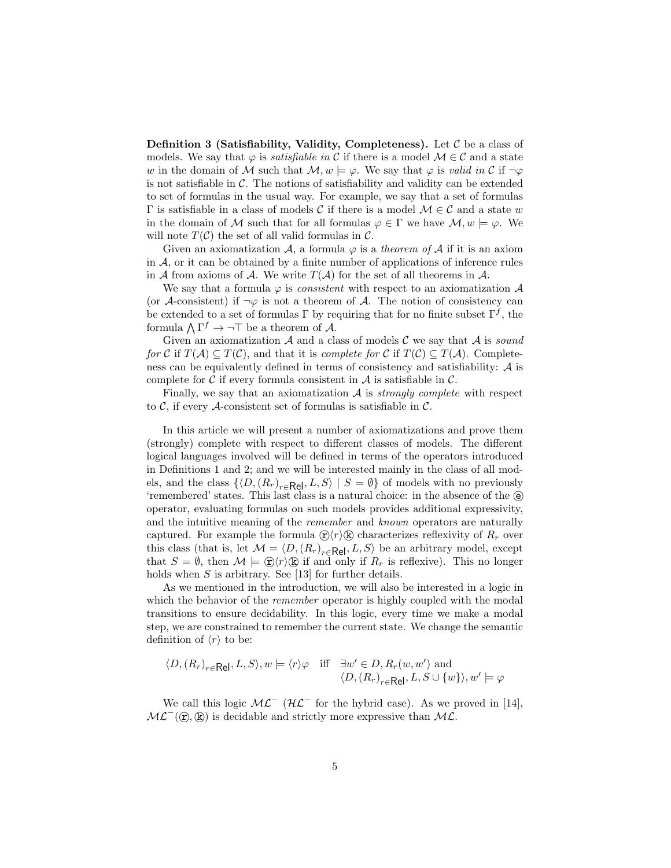**Definition 3 (Satisfiability, Validity, Completeness).** Let  $\mathcal{C}$  be a class of models. We say that  $\varphi$  is *satisfiable in* C if there is a model  $\mathcal{M} \in \mathcal{C}$  and a state w in the domain of M such that  $\mathcal{M}, w \models \varphi$ . We say that  $\varphi$  is valid in C if  $\neg \varphi$ is not satisfiable in  $\mathcal{C}$ . The notions of satisfiability and validity can be extended to set of formulas in the usual way. For example, we say that a set of formulas  $Γ$  is satisfiable in a class of models  $C$  if there is a model  $M \in C$  and a state w in the domain of M such that for all formulas  $\varphi \in \Gamma$  we have  $\mathcal{M}, w \models \varphi$ . We will note  $T(\mathcal{C})$  the set of all valid formulas in  $\mathcal{C}$ .

Given an axiomatization A, a formula  $\varphi$  is a theorem of A if it is an axiom in  $A$ , or it can be obtained by a finite number of applications of inference rules in A from axioms of A. We write  $T(A)$  for the set of all theorems in A.

We say that a formula  $\varphi$  is *consistent* with respect to an axiomatization  $\mathcal A$ (or A-consistent) if  $\neg \varphi$  is not a theorem of A. The notion of consistency can be extended to a set of formulas  $\Gamma$  by requiring that for no finite subset  $\Gamma^f$ , the formula  $\bigwedge \Gamma^f \to \neg \top$  be a theorem of A.

Given an axiomatization  $A$  and a class of models C we say that  $A$  is sound for C if  $T(A) \subseteq T(C)$ , and that it is complete for C if  $T(C) \subseteq T(A)$ . Completeness can be equivalently defined in terms of consistency and satisfiability:  $\mathcal A$  is complete for  $\mathcal C$  if every formula consistent in  $\mathcal A$  is satisfiable in  $\mathcal C$ .

Finally, we say that an axiomatization  $A$  is *strongly complete* with respect to  $\mathcal{C}$ , if every  $\mathcal{A}$ -consistent set of formulas is satisfiable in  $\mathcal{C}$ .

In this article we will present a number of axiomatizations and prove them (strongly) complete with respect to different classes of models. The different logical languages involved will be defined in terms of the operators introduced in Definitions 1 and 2; and we will be interested mainly in the class of all models, and the class  $\{ \langle D, (R_r)_{r \in \mathsf{Rel}}, L, S \rangle \mid S = \emptyset \}$  of models with no previously 'remembered' states. This last class is a natural choice: in the absence of the  $\Theta$ operator, evaluating formulas on such models provides additional expressivity, and the intuitive meaning of the *remember* and *known* operators are naturally captured. For example the formula  $\mathcal{D}\langle r\rangle\mathcal{D}$  characterizes reflexivity of  $R_r$  over this class (that is, let  $M = \langle D, (R_r)_{r \in \text{Rel}}, L, S \rangle$  be an arbitrary model, except that  $S = \emptyset$ , then  $\mathcal{M} \models \hat{\mathcal{L}} \rangle \langle r \rangle \langle \hat{\mathcal{R}} \rangle$  if and only if  $R_r$  is reflexive). This no longer holds when  $S$  is arbitrary. See [13] for further details.

As we mentioned in the introduction, we will also be interested in a logic in which the behavior of the *remember* operator is highly coupled with the modal transitions to ensure decidability. In this logic, every time we make a modal step, we are constrained to remember the current state. We change the semantic definition of  $\langle r \rangle$  to be:

$$
\langle D, (R_r)_{r \in \mathsf{Rel}}, L, S \rangle, w \models \langle r \rangle \varphi \quad \text{iff} \quad \exists w' \in D, R_r(w, w') \text{ and}
$$

$$
\langle D, (R_r)_{r \in \mathsf{Rel}}, L, S \cup \{w\} \rangle, w' \models \varphi
$$

We call this logic  $\mathcal{ML}^-$  ( $\mathcal{HL}^-$  for the hybrid case). As we proved in [14],  $ML^{-}(\hat{\mathbf{r}}, \hat{\mathbf{k}})$  is decidable and strictly more expressive than  $ML$ .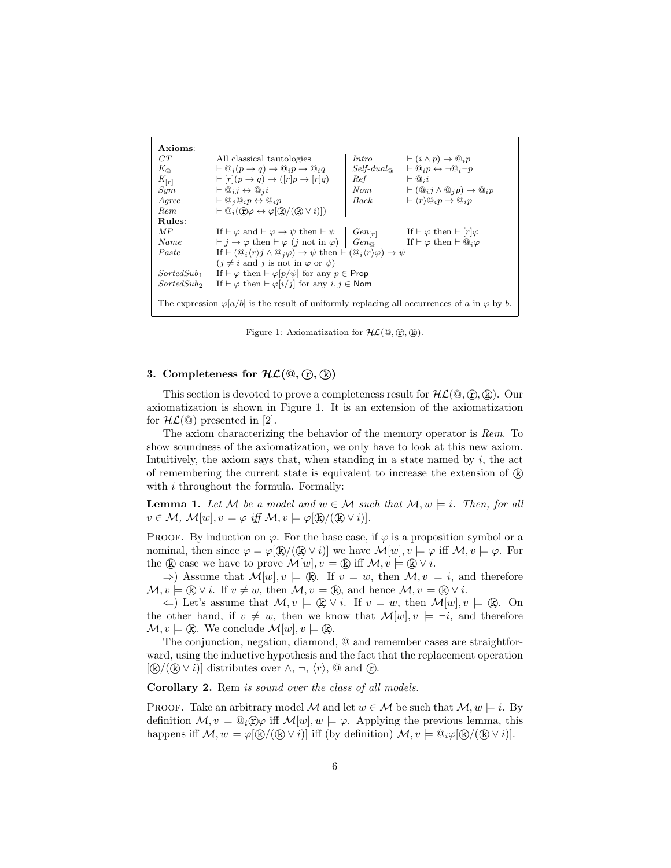| Axioms:                                                                                                    |                                                                                                                                                                    |             |                                                                           |  |
|------------------------------------------------------------------------------------------------------------|--------------------------------------------------------------------------------------------------------------------------------------------------------------------|-------------|---------------------------------------------------------------------------|--|
| CT                                                                                                         | All classical tautologies                                                                                                                                          | Intro       | $\vdash (i \land p) \rightarrow \mathbb{Q}_i p$                           |  |
| $K_{\odot}$                                                                                                | $\vdash \mathbb{Q}_i(p \to q) \to \mathbb{Q}_i p \to \mathbb{Q}_i q$                                                                                               | $Self-dual$ | $\vdash @_{i}p \leftrightarrow \neg @_{i}\neg p$                          |  |
| $K_{[r]}$                                                                                                  | $\vdash [r](p \rightarrow q) \rightarrow ([r]p \rightarrow [r]q)$                                                                                                  | Ref         | $\vdash \mathbb{Q}_i i$                                                   |  |
| Sym                                                                                                        | $\vdash \mathbb{Q}_i j \leftrightarrow \mathbb{Q}_i i$                                                                                                             | Norm        | $\vdash (\mathbb{Q}_i j \land \mathbb{Q}_i p) \rightarrow \mathbb{Q}_i p$ |  |
| Agree                                                                                                      | $\vdash \mathbb{Q}_i \mathbb{Q}_i p \leftrightarrow \mathbb{Q}_i p$                                                                                                | Back        | $\vdash \langle r \rangle @_i p \rightarrow @_i p$                        |  |
| Rem                                                                                                        | $\vdash \mathbb{Q}_i(\widehat{\mathbf{T}})\varphi \leftrightarrow \varphi(\widehat{\mathbf{k}}/((\widehat{\mathbf{k}}\vee i)))$                                    |             |                                                                           |  |
| Rules:                                                                                                     |                                                                                                                                                                    |             |                                                                           |  |
| МP                                                                                                         | If $\vdash \varphi$ and $\vdash \varphi \rightarrow \psi$ then $\vdash \psi$                                                                                       | $Gen_{[r]}$ | If $\vdash \varphi$ then $\vdash  r \varphi$                              |  |
| Name                                                                                                       | $\vdash j \rightarrow \varphi$ then $\vdash \varphi$ ( <i>j</i> not in $\varphi$ )                                                                                 | $Gen_{@}$   | If $\vdash \varphi$ then $\vdash @_{i}\varphi$                            |  |
| Paste                                                                                                      | If $\vdash (\mathbb{Q}_i \langle r \rangle j \land \mathbb{Q}_j \varphi) \rightarrow \psi$ then $\vdash (\mathbb{Q}_i \langle r \rangle \varphi) \rightarrow \psi$ |             |                                                                           |  |
|                                                                                                            | $(j \neq i$ and j is not in $\varphi$ or $\psi$ )                                                                                                                  |             |                                                                           |  |
| $SortedSub_1$                                                                                              | If $\vdash \varphi$ then $\vdash \varphi[p/\psi]$ for any $p \in \mathsf{Prop}$                                                                                    |             |                                                                           |  |
| SortedSub                                                                                                  | If $\vdash \varphi$ then $\vdash \varphi[i/j]$ for any $i, j \in \mathsf{Nom}$                                                                                     |             |                                                                           |  |
|                                                                                                            |                                                                                                                                                                    |             |                                                                           |  |
| The expression $\varphi a/b $ is the result of uniformly replacing all occurrences of a in $\varphi$ by b. |                                                                                                                                                                    |             |                                                                           |  |

Figure 1: Axiomatization for  $\mathcal{HL}(\mathbb{Q}, \mathbb{Q}, \mathbb{Q})$ .

### 3. Completeness for  $HL(\mathbb{Q}, \mathbb{R}), \mathbb{R}$

This section is devoted to prove a completeness result for  $HL(\mathbb{Q}, \mathbb{Q}, \mathbb{R})$ . Our axiomatization is shown in Figure 1. It is an extension of the axiomatization for  $\mathcal{HL}(\mathcal{Q})$  presented in [2].

The axiom characterizing the behavior of the memory operator is Rem. To show soundness of the axiomatization, we only have to look at this new axiom. Intuitively, the axiom says that, when standing in a state named by  $i$ , the act of remembering the current state is equivalent to increase the extension of  $\mathbb{R}$ with *i* throughout the formula. Formally:

**Lemma 1.** Let M be a model and  $w \in M$  such that  $M, w \models i$ . Then, for all  $v \in \mathcal{M}, \mathcal{M}[w], v \models \varphi \text{ iff } \mathcal{M}, v \models \varphi(\mathbb{R}/(\mathbb{R} \vee i)).$ 

PROOF. By induction on  $\varphi$ . For the base case, if  $\varphi$  is a proposition symbol or a nominal, then since  $\varphi = \varphi(\mathbb{R})/(\mathbb{R} \vee i)$  we have  $\mathcal{M}[w], v \models \varphi$  iff  $\mathcal{M}, v \models \varphi$ . For the  $\&$  case we have to prove  $\mathcal{M}[w], v \models \& \text{ iff } \mathcal{M}, v \models \& \vee i.$ 

 $\Rightarrow$ ) Assume that  $\mathcal{M}[w], v \models \mathbb{R}$ . If  $v = w$ , then  $\mathcal{M}, v \models i$ , and therefore  $\mathcal{M}, v \models \mathbb{R} \lor i$ . If  $v \neq w$ , then  $\mathcal{M}, v \models \mathbb{R}$ , and hence  $\mathcal{M}, v \models \mathbb{R} \lor i$ .

 $\Leftarrow$ ) Let's assume that  $M, v \models \mathbb{Q} \lor i$ . If  $v = w$ , then  $M[w], v \models \mathbb{Q}$ . On the other hand, if  $v \neq w$ , then we know that  $\mathcal{M}[w], v \models \neg i$ , and therefore  $\mathcal{M}, v \models \mathbb{R}$ . We conclude  $\mathcal{M}[w], v \models \mathbb{R}$ .

The conjunction, negation, diamond, @ and remember cases are straightforward, using the inductive hypothesis and the fact that the replacement operation  $[(\mathbb{R})/(\mathbb{Q} \vee i)]$  distributes over  $\wedge, \neg, \langle r \rangle$ , @ and  $(\hat{r})$ .

Corollary 2. Rem is sound over the class of all models.

PROOF. Take an arbitrary model M and let  $w \in \mathcal{M}$  be such that  $\mathcal{M}, w \models i$ . By definition  $\mathcal{M}, v \models \mathbb{Q}_i \cap \varphi$  iff  $\mathcal{M}[w], w \models \varphi$ . Applying the previous lemma, this happens iff  $\mathcal{M}, w \models \varphi[\mathbb{R}/(\mathbb{R} \vee i)]$  iff (by definition)  $\mathcal{M}, v \models \mathbb{Q}_i \varphi[\mathbb{R}/(\mathbb{R} \vee i)]$ .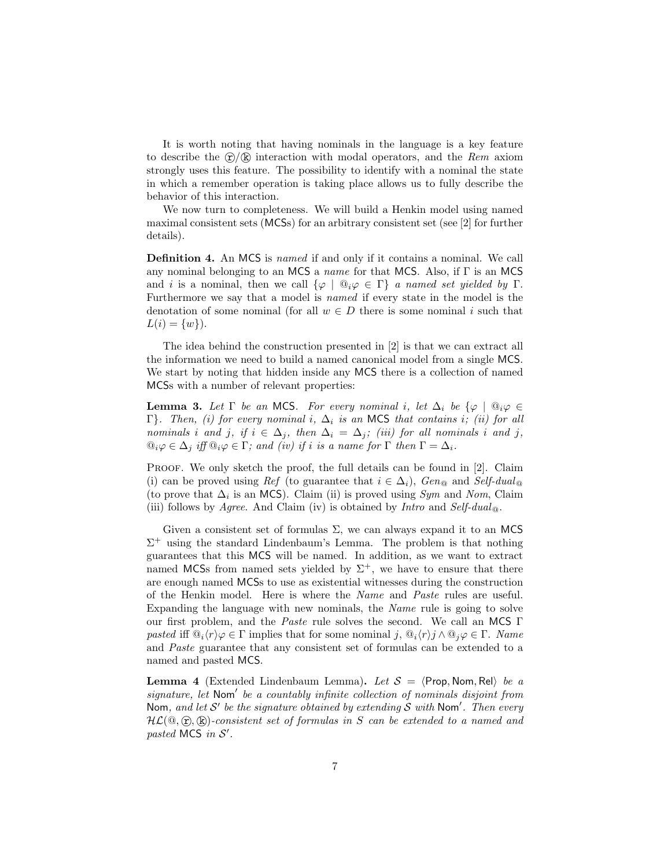It is worth noting that having nominals in the language is a key feature to describe the  $\mathcal{D}/\mathbb{R}$  interaction with modal operators, and the Rem axiom strongly uses this feature. The possibility to identify with a nominal the state in which a remember operation is taking place allows us to fully describe the behavior of this interaction.

We now turn to completeness. We will build a Henkin model using named maximal consistent sets (MCSs) for an arbitrary consistent set (see [2] for further details).

Definition 4. An MCS is named if and only if it contains a nominal. We call any nominal belonging to an MCS a *name* for that MCS. Also, if  $\Gamma$  is an MCS and i is a nominal, then we call  $\{\varphi \mid \mathbb{Q}_i\varphi \in \Gamma\}$  a named set yielded by  $\Gamma$ . Furthermore we say that a model is named if every state in the model is the denotation of some nominal (for all  $w \in D$  there is some nominal i such that  $L(i) = \{w\}$ .

The idea behind the construction presented in [2] is that we can extract all the information we need to build a named canonical model from a single MCS. We start by noting that hidden inside any MCS there is a collection of named MCSs with a number of relevant properties:

**Lemma 3.** Let  $\Gamma$  be an MCS. For every nominal i, let  $\Delta_i$  be  $\{\varphi \mid \mathbb{Q}_i\varphi \in$ Γ}. Then, (i) for every nominal i,  $\Delta_i$  is an MCS that contains i; (ii) for all nominals i and j, if  $i \in \Delta_j$ , then  $\Delta_i = \Delta_j$ ; (iii) for all nominals i and j,  $\mathbb{Q}_i\varphi\in\Delta_i$  iff  $\mathbb{Q}_i\varphi\in\Gamma$ ; and (iv) if i is a name for  $\Gamma$  then  $\Gamma=\Delta_i$ .

Proof. We only sketch the proof, the full details can be found in [2]. Claim (i) can be proved using Ref (to guarantee that  $i \in \Delta_i$ ), Gen<sub>®</sub> and Self-dual<sub>®</sub> (to prove that  $\Delta_i$  is an MCS). Claim (ii) is proved using  $Sym$  and Nom, Claim (iii) follows by Agree. And Claim (iv) is obtained by Intro and  $Self-dual_{\mathcal{Q}}$ .

Given a consistent set of formulas  $\Sigma$ , we can always expand it to an MCS  $\Sigma^+$  using the standard Lindenbaum's Lemma. The problem is that nothing guarantees that this MCS will be named. In addition, as we want to extract named MCSs from named sets yielded by  $\Sigma^+$ , we have to ensure that there are enough named MCSs to use as existential witnesses during the construction of the Henkin model. Here is where the Name and Paste rules are useful. Expanding the language with new nominals, the Name rule is going to solve our first problem, and the Paste rule solves the second. We call an MCS Γ pasted iff  $\mathbb{Q}_i\langle r\rangle\varphi\in\Gamma$  implies that for some nominal j,  $\mathbb{Q}_i\langle r\rangle\in\Gamma$ ,  $\mathbb{Q}_i\varphi\in\Gamma$ . Name and Paste guarantee that any consistent set of formulas can be extended to a named and pasted MCS.

**Lemma 4** (Extended Lindenbaum Lemma). Let  $S = \langle$ Prop, Nom, Rel $\rangle$  be a signature, let Nom' be a countably infinite collection of nominals disjoint from Nom, and let S' be the signature obtained by extending S with Nom'. Then every  $HL(\mathbb{Q}, \mathbb{F})$ -consistent set of formulas in S can be extended to a named and pasted MCS in  $S'$ .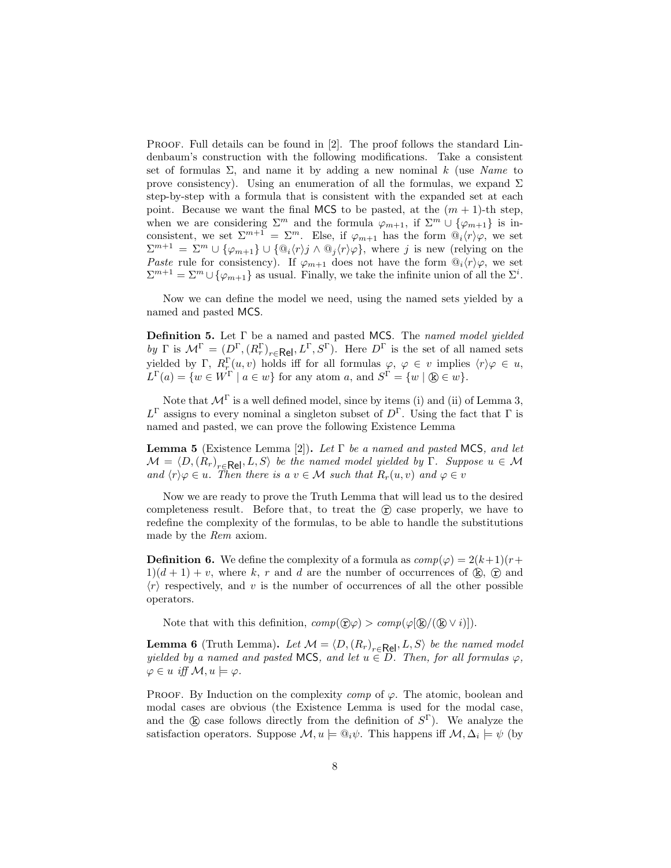PROOF. Full details can be found in [2]. The proof follows the standard Lindenbaum's construction with the following modifications. Take a consistent set of formulas  $\Sigma$ , and name it by adding a new nominal k (use Name to prove consistency). Using an enumeration of all the formulas, we expand  $\Sigma$ step-by-step with a formula that is consistent with the expanded set at each point. Because we want the final MCS to be pasted, at the  $(m + 1)$ -th step, when we are considering  $\Sigma^m$  and the formula  $\varphi_{m+1}$ , if  $\Sigma^m \cup {\varphi_{m+1}}$  is inconsistent, we set  $\Sigma^{m+1} = \Sigma^m$ . Else, if  $\varphi_{m+1}$  has the form  $\mathbb{Q}_i(r)\varphi$ , we set  $\Sigma^{m+1} = \Sigma^m \cup {\varphi_{m+1}} \cup {\varphi_i \langle r \rangle_j} \wedge {\varphi_j \langle r \rangle} \varphi$ , where j is new (relying on the Paste rule for consistency). If  $\varphi_{m+1}$  does not have the form  $\mathbb{Q}_i\langle r\rangle\varphi$ , we set  $\Sigma^{m+1} = \Sigma^m \cup {\varphi_{m+1}}$  as usual. Finally, we take the infinite union of all the  $\Sigma^i$ .

Now we can define the model we need, using the named sets yielded by a named and pasted MCS.

**Definition 5.** Let  $\Gamma$  be a named and pasted MCS. The named model yielded by  $\Gamma$  is  $\mathcal{M}^{\Gamma} = (D^{\Gamma}, (R_r^{\Gamma})_{r \in \mathsf{Rel}}, L^{\Gamma}, S^{\Gamma}).$  Here  $D^{\Gamma}$  is the set of all named sets yielded by  $\Gamma$ ,  $R_{r}^{\Gamma}(u, v)$  holds iff for all formulas  $\varphi, \varphi \in v$  implies  $\langle r \rangle \varphi \in u$ ,  $L^{\Gamma}(a) = \{w \in W^{\Gamma} \mid a \in w\}$  for any atom a, and  $S^{\Gamma} = \{w \mid \mathcal{B} \in w\}.$ 

Note that  $\mathcal{M}^{\Gamma}$  is a well defined model, since by items (i) and (ii) of Lemma 3,  $L^{\Gamma}$  assigns to every nominal a singleton subset of  $D^{\Gamma}$ . Using the fact that  $\Gamma$  is named and pasted, we can prove the following Existence Lemma

**Lemma 5** (Existence Lemma [2]). Let  $\Gamma$  be a named and pasted MCS, and let  $\mathcal{M} = \langle D, (R_r)_{r \in \mathsf{Rel}}, L, S \rangle$  be the named model yielded by Γ. Suppose  $u \in \mathcal{M}$ and  $\langle r \rangle \varphi \in u$ . Then there is a  $v \in \mathcal{M}$  such that  $R_r(u, v)$  and  $\varphi \in v$ 

Now we are ready to prove the Truth Lemma that will lead us to the desired completeness result. Before that, to treat the  $(F)$  case properly, we have to redefine the complexity of the formulas, to be able to handle the substitutions made by the Rem axiom.

**Definition 6.** We define the complexity of a formula as  $comp(\varphi) = 2(k+1)(r+$  $1/(d+1) + v$ , where k, r and d are the number of occurrences of  $\mathbb{R}$ ,  $\mathbb{R}$  and  $\langle r \rangle$  respectively, and v is the number of occurrences of all the other possible operators.

Note that with this definition,  $comp(\hat{\mathbf{x}}|\varphi) > comp(\varphi[\hat{\mathbf{k}}/(\hat{\mathbf{k}} \vee i)]).$ 

**Lemma 6** (Truth Lemma). Let  $\mathcal{M} = \langle D, (R_r)_{r \in \text{Rel}}, L, S \rangle$  be the named model yielded by a named and pasted MCS, and let  $u \in D$ . Then, for all formulas  $\varphi$ ,  $\varphi \in u$  iff  $\mathcal{M}, u \models \varphi$ .

PROOF. By Induction on the complexity *comp* of  $\varphi$ . The atomic, boolean and modal cases are obvious (the Existence Lemma is used for the modal case, and the  $\&$  case follows directly from the definition of  $S^{\Gamma}$ ). We analyze the satisfaction operators. Suppose  $\mathcal{M}, u \models \mathbb{Q}_i \psi$ . This happens iff  $\mathcal{M}, \Delta_i \models \psi$  (by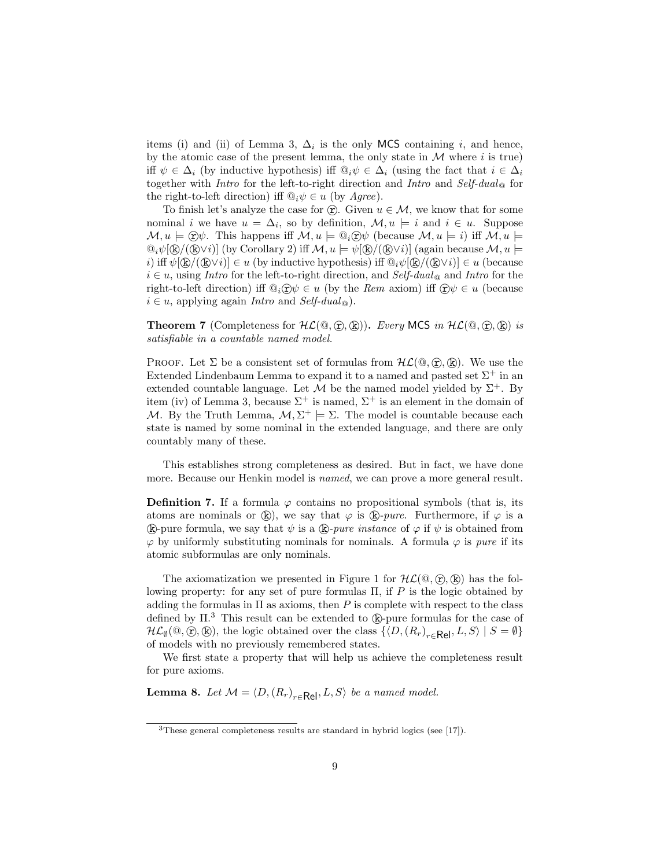items (i) and (ii) of Lemma 3,  $\Delta_i$  is the only MCS containing i, and hence, by the atomic case of the present lemma, the only state in  $M$  where i is true) iff  $\psi \in \Delta_i$  (by inductive hypothesis) iff  $\mathbb{Q}_i \psi \in \Delta_i$  (using the fact that  $i \in \Delta_i$ together with *Intro* for the left-to-right direction and *Intro* and *Self-dual*  $_{\odot}$  for the right-to-left direction) iff  $\mathbb{Q}_i \psi \in u$  (by Agree).

To finish let's analyze the case for  $\hat{r}$ . Given  $u \in \mathcal{M}$ , we know that for some nominal *i* we have  $u = \Delta_i$ , so by definition,  $\mathcal{M}, u \models i$  and  $i \in u$ . Suppose  $\mathcal{M}, u \models \widehat{H} \mathcal{W}$ . This happens iff  $\mathcal{M}, u \models \mathbb{Q}_i \widehat{H} \mathcal{W}$  (because  $\mathcal{M}, u \models i$ ) iff  $\mathcal{M}, u \models i$  $\mathbb{Q}_i\psi[\mathbb{R}/(\mathbb{R}\vee i)]$  (by Corollary 2) iff  $\mathcal{M}, u \models \psi[\mathbb{R}/(\mathbb{R}\vee i)]$  (again because  $\mathcal{M}, u \models \psi[\mathbb{R}/(\mathbb{R}\vee i)]$ i) iff  $\psi[\mathbb{R}/(\mathbb{R}\vee i)] \in u$  (by inductive hypothesis) iff  $\mathbb{Q}_i\psi[\mathbb{R}/(\mathbb{R}\vee i)] \in u$  (because  $i \in u$ , using Intro for the left-to-right direction, and Self-dual<sub>@</sub> and Intro for the right-to-left direction) iff  $\mathbb{Q}_i \times \mathbb{Q} \in u$  (by the Rem axiom) iff  $\mathbb{Q} \psi \in u$  (because  $i \in u$ , applying again *Intro* and *Self-dual*  $_{\odot}$ ).

**Theorem 7** (Completeness for  $HL(\mathbb{Q}, \mathbb{C}), (\mathbb{R})$ ). Every MCS in  $HL(\mathbb{Q}, \mathbb{C}), (\mathbb{R})$  is satisfiable in a countable named model.

PROOF. Let  $\Sigma$  be a consistent set of formulas from  $H\mathcal{L}(\mathbb{Q}, \widehat{\mathbb{r}}, \widehat{\mathbb{R}})$ . We use the Extended Lindenbaum Lemma to expand it to a named and pasted set  $\Sigma^+$  in an extended countable language. Let  $\mathcal M$  be the named model yielded by  $\Sigma^+$ . By item (iv) of Lemma 3, because  $\Sigma^+$  is named,  $\Sigma^+$  is an element in the domain of M. By the Truth Lemma,  $M, \Sigma^+ \models \Sigma$ . The model is countable because each state is named by some nominal in the extended language, and there are only countably many of these.

This establishes strong completeness as desired. But in fact, we have done more. Because our Henkin model is named, we can prove a more general result.

**Definition 7.** If a formula  $\varphi$  contains no propositional symbols (that is, its atoms are nominals or  $(\mathbf{k})$ , we say that  $\varphi$  is  $(\mathbf{k})$ -pure. Furthermore, if  $\varphi$  is a (k)-pure formula, we say that  $\psi$  is a (k)-pure instance of  $\varphi$  if  $\psi$  is obtained from  $\varphi$  by uniformly substituting nominals for nominals. A formula  $\varphi$  is *pure* if its atomic subformulas are only nominals.

The axiomatization we presented in Figure 1 for  $H\mathcal{L}(\mathbb{Q}, \mathbb{R})$  has the following property: for any set of pure formulas  $\Pi$ , if P is the logic obtained by adding the formulas in  $\Pi$  as axioms, then P is complete with respect to the class defined by  $\Pi$ .<sup>3</sup> This result can be extended to  $(\mathbf{k})$ -pure formulas for the case of  $\mathcal{HL}_{\emptyset}(\mathbb{Q},\mathbb{G},\mathbb{Q}),$  the logic obtained over the class  $\{D, (R_r)_{r\in \mathsf{Rel}}, L, S\rangle \mid S = \emptyset\}$ of models with no previously remembered states.

We first state a property that will help us achieve the completeness result for pure axioms.

**Lemma 8.** Let  $M = \langle D, (R_r)_{r \in \text{Rel}}, L, S \rangle$  be a named model.

<sup>3</sup>These general completeness results are standard in hybrid logics (see [17]).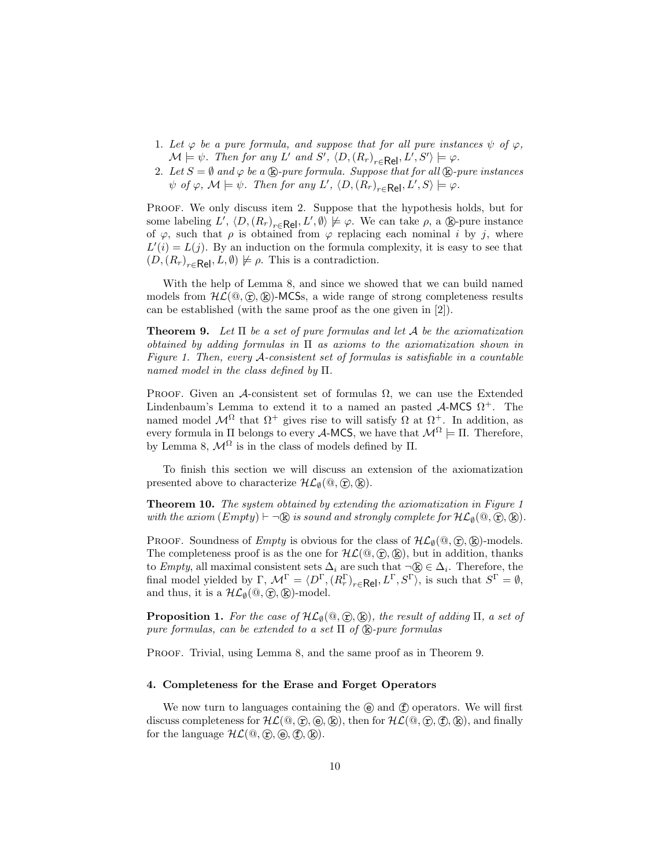- 1. Let  $\varphi$  be a pure formula, and suppose that for all pure instances  $\psi$  of  $\varphi$ ,  $\mathcal{M} \models \psi$ . Then for any L' and S',  $\langle D, (R_r)_{r \in \mathsf{Rel}}, L', S' \rangle \models \varphi$ .
- 2. Let  $S = \emptyset$  and  $\varphi$  be a  $\mathbb{R}$ -pure formula. Suppose that for all  $\mathbb{R}$ -pure instances  $\psi$  of  $\varphi$ ,  $\mathcal{M} \models \psi$ . Then for any L',  $\langle D, (R_r)_{r \in \mathsf{Rel}}, L', S \rangle \models \varphi$ .

PROOF. We only discuss item 2. Suppose that the hypothesis holds, but for some labeling  $L'$ ,  $\langle D, (R_r)_{r \in \mathsf{Rel}}, L', \emptyset \rangle \not\models \varphi$ . We can take  $\rho$ , a  $\circledR$ -pure instance of  $\varphi$ , such that  $\rho$  is obtained from  $\varphi$  replacing each nominal i by j, where  $L'(i) = L(j)$ . By an induction on the formula complexity, it is easy to see that  $(D, (R_r)_{r \in \mathsf{Rel}}, L, \emptyset) \not\models \rho$ . This is a contradiction.

With the help of Lemma 8, and since we showed that we can build named models from  $\mathcal{HL}(\mathbb{Q}, \mathbb{F})$ . (R)-MCSs, a wide range of strong completeness results can be established (with the same proof as the one given in [2]).

**Theorem 9.** Let  $\Pi$  be a set of pure formulas and let  $A$  be the axiomatization obtained by adding formulas in  $\Pi$  as axioms to the axiomatization shown in Figure 1. Then, every A-consistent set of formulas is satisfiable in a countable named model in the class defined by Π.

PROOF. Given an A-consistent set of formulas  $\Omega$ , we can use the Extended Lindenbaum's Lemma to extend it to a named an pasted  $\mathcal{A}\text{-MCS }\Omega^+$ . The named model  $\mathcal{M}^{\Omega}$  that  $\Omega^{+}$  gives rise to will satisfy  $\Omega$  at  $\Omega^{+}$ . In addition, as every formula in  $\Pi$  belongs to every **A-MCS**, we have that  $\mathcal{M}^{\Omega} \models \Pi$ . Therefore, by Lemma 8,  $\mathcal{M}^{\Omega}$  is in the class of models defined by  $\Pi$ .

To finish this section we will discuss an extension of the axiomatization presented above to characterize  $\mathcal{HL}_{\emptyset}(\mathbb{Q}, \mathbb{C}), \mathbb{R}$ .

Theorem 10. The system obtained by extending the axiomatization in Figure 1 with the axiom  $(Empty) \vdash \neg \&$  is sound and strongly complete for  $\mathcal{HL}_0(\mathcal{Q}, \mathcal{L}), \&$ ).

PROOF. Soundness of *Empty* is obvious for the class of  $H\mathcal{L}_{\emptyset}(\mathbb{Q}, \mathbb{F}, \mathbb{R})$ -models. The completeness proof is as the one for  $HL(\mathbb{Q}, \mathbb{C}), \mathbb{R}$ , but in addition, thanks to Empty, all maximal consistent sets  $\Delta_i$  are such that  $\neg \mathbb{R} \in \Delta_i$ . Therefore, the final model yielded by  $\Gamma$ ,  $\mathcal{M}^{\Gamma} = \langle D^{\Gamma}, (R_r^{\Gamma})_{r \in \mathsf{Rel}}, L^{\Gamma}, S^{\Gamma} \rangle$ , is such that  $S^{\Gamma} = \emptyset$ , and thus, it is a  $\mathcal{HL}_{\emptyset}(\mathbb{Q}, \widehat{\mathbb{r}})$ ,  $(\widehat{\mathbb{R}})$ -model.

**Proposition 1.** For the case of  $\mathcal{HL}_{\emptyset}(\mathbb{Q}, \widehat{\mathbb{R}})$ , the result of adding  $\Pi$ , a set of pure formulas, can be extended to a set  $\Pi$  of  $\&$ -pure formulas

PROOF. Trivial, using Lemma 8, and the same proof as in Theorem 9.

### 4. Completeness for the Erase and Forget Operators

We now turn to languages containing the  $\Theta$  and  $\hat{f}$  operators. We will first discuss completeness for  $HL(\mathbb{Q}, \mathbb{Q}, \mathbb{Q}, \mathbb{Q})$ , then for  $HL(\mathbb{Q}, \mathbb{Q}, \mathbb{Q})$ ,  $(\mathbb{R})$ , and finally for the language  $\mathcal{HL}(\mathbb{Q}, \mathbb{C}), (\mathbb{E}), (\mathbb{E}), (\mathbb{E}).$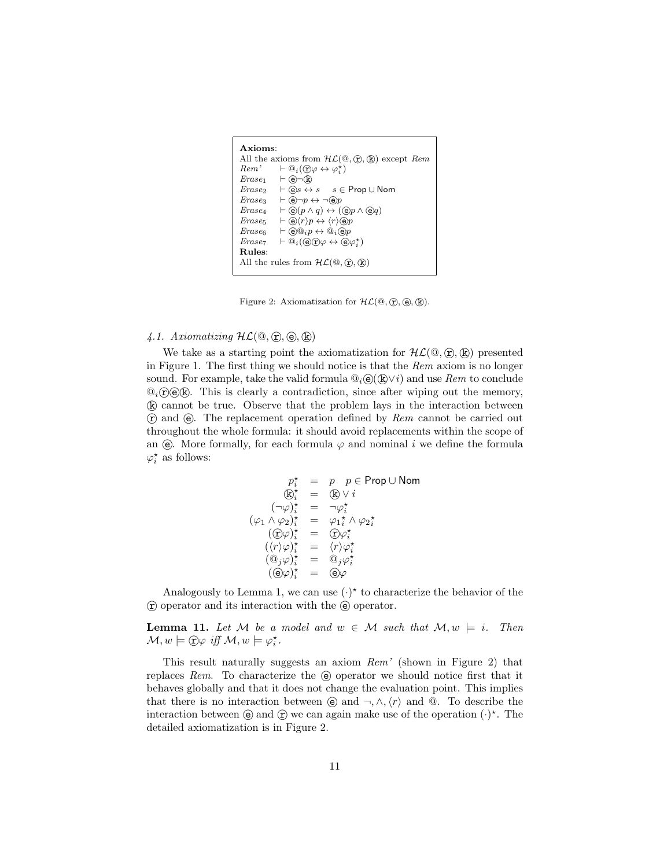```
Axioms:
All the axioms from \mathcal{HL}(\mathbb{Q}, \mathbb{C}), \mathbb{Q}) except Rem<br>
Rem' \models \mathbb{Q}_i(\mathbb{C})\varphi \leftrightarrow \varphi^*Rem' \qquad \vdash @_{i}(\mathfrak{D}\varphi \leftrightarrow \varphi_{i}^{\star})\mathit{Erase}_1 \vdash \bigcircledast \neg \mathbb{R}Erase<sub>2</sub> \vdash \textcircled{e}s \leftrightarrow s \quad s \in \text{Prop} \cup \text{Nom}<br>Erase<sub>3</sub> \vdash \textcircled{e}\neg p \leftrightarrow \neg \textcircled{e}p\begin{array}{ll}\n\text{Erase}_3 & \vdash @ \neg p \leftrightarrow \neg @ p \\
\text{Erase}_4 & \vdash @ (p \land q) \leftrightarrow (\neg \text{Eaves}_4) \land \neg \text{Eaves}_4\n\end{array}\begin{array}{ll}\n\text{E} \text{rase}_4 & \vdash \textcircled{e}(p \land q) \leftrightarrow (\textcircled{e} p \land \textcircled{e} q) \\
\text{E} \text{rase}_5 & \vdash (\textcircled{e} \langle r \rangle p \leftrightarrow \langle r \rangle \textcircled{e} p\n\end{array}\vdash \bigcirc \langle r \rangle p \leftrightarrow \langle r \rangle \bigcirc p\begin{array}{ll}\n\text{Erase}_6 & \vdash @ @_{i}p \leftrightarrow @_{i} @ p \\
\text{Erase}_7 & \vdash @_{i} @ (\mathbf{\widehat{e}}) \mathbf{\widehat{r}} \leftrightarrow @_{i} @ \mathbf{\widehat{e}} \end{array}Erase<sub>7</sub> \vdash \overline{\mathbb{Q}}_i(\mathbb{C}) \mathcal{D} \varphi \leftrightarrow \overline{\mathbb{C}} \varphi_i^*Rules:
All the rules from \mathcal{HL}(\mathbb{Q}, \mathbb{C}, \mathbb{Q})
```
Figure 2: Axiomatization for  $HL(\mathbb{Q}, \mathbb{C}, \mathbb{Q}, \mathbb{Q})$ .

# 4.1. Axiomatizing  $HL(\mathbb{Q}, \mathbb{C}, \mathbb{e}), \mathbb{R})$

We take as a starting point the axiomatization for  $H\mathcal{L}(\mathbb{Q}, \mathbb{R})$  presented in Figure 1. The first thing we should notice is that the Rem axiom is no longer sound. For example, take the valid formula  $\mathbb{Q}_i \Theta(\mathbb{R} \vee i)$  and use Rem to conclude  $\mathcal{Q}_i(\hat{\mathbf{r}})$  (e)(k). This is clearly a contradiction, since after wiping out the memory, k cannot be true. Observe that the problem lays in the interaction between  $\hat{r}$  and  $\hat{e}$ . The replacement operation defined by Rem cannot be carried out throughout the whole formula: it should avoid replacements within the scope of an  $\Theta$ . More formally, for each formula  $\varphi$  and nominal i we define the formula  $\varphi_i^{\star}$  as follows:

$$
p_i^* = p \quad p \in \text{Prop} \cup \text{Nom}
$$
  
\n
$$
\textcircled{k}_i^* = \textcircled{k} \vee i
$$
  
\n
$$
(\neg \varphi)_i^* = \neg \varphi_i^*
$$
  
\n
$$
(\varphi_1 \wedge \varphi_2)_i^* = \varphi_1^* \wedge \varphi_2^*
$$
  
\n
$$
(\textcircled{c}\varphi)_i^* = \textcircled{c}\varphi_i^*
$$
  
\n
$$
(\langle r \rangle \varphi)_i^* = \langle r \rangle \varphi_i^*
$$
  
\n
$$
(\textcircled{e}\varphi)_i^* = \textcircled{e}\varphi
$$
  
\n
$$
(\textcircled{e}\varphi)_i^* = \textcircled{e}\varphi
$$

Analogously to Lemma 1, we can use  $(\cdot)^*$  to characterize the behavior of the  $\hat{r}$  operator and its interaction with the  $\hat{e}$  operator.

**Lemma 11.** Let M be a model and  $w \in M$  such that  $M, w \models i$ . Then  $\mathcal{M}, w \models \textcircled{r}\varphi \text{ iff } \mathcal{M}, w \models \varphi_i^{\star}.$ 

This result naturally suggests an axiom Rem' (shown in Figure 2) that replaces Rem. To characterize the  $\Theta$  operator we should notice first that it behaves globally and that it does not change the evaluation point. This implies that there is no interaction between  $\Theta$  and  $\neg, \wedge, \langle r \rangle$  and  $\Theta$ . To describe the interaction between  $\Theta$  and  $\Theta$  we can again make use of the operation  $(\cdot)^*$ . The detailed axiomatization is in Figure 2.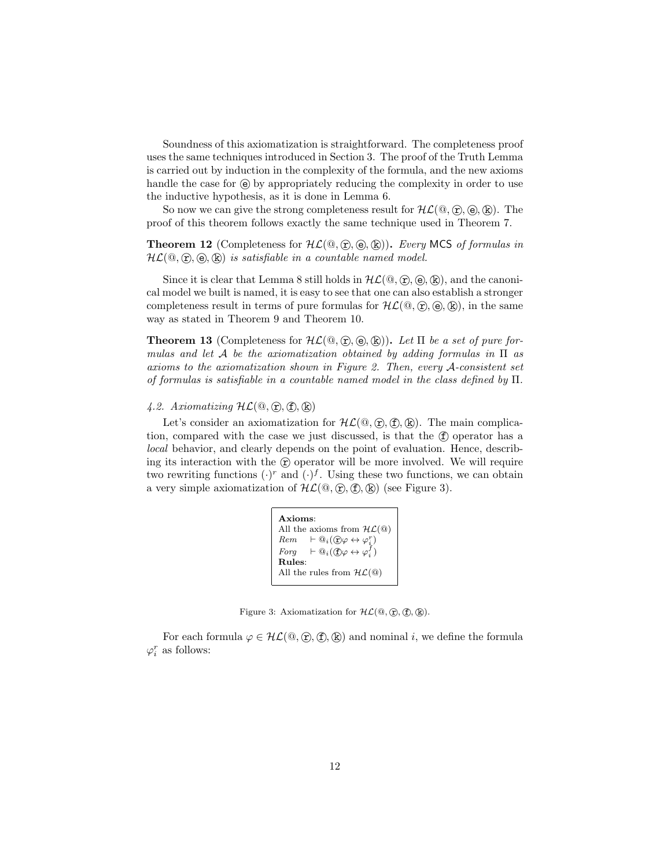Soundness of this axiomatization is straightforward. The completeness proof uses the same techniques introduced in Section 3. The proof of the Truth Lemma is carried out by induction in the complexity of the formula, and the new axioms handle the case for  $\Theta$  by appropriately reducing the complexity in order to use the inductive hypothesis, as it is done in Lemma 6.

So now we can give the strong completeness result for  $HL(\mathbb{Q}, \hat{\tau}, \hat{\Theta}, \hat{\kappa})$ . The proof of this theorem follows exactly the same technique used in Theorem 7.

**Theorem 12** (Completeness for  $HL(\mathbb{Q}, \mathbb{F})$ ,  $(\mathbb{Q}, \mathbb{R})$ ). Every MCS of formulas in  $HL(\mathbb{Q}, \mathbb{F}, \mathbb{Q}, \mathbb{R})$  is satisfiable in a countable named model.

Since it is clear that Lemma 8 still holds in  $HL(\mathbb{Q}, \mathbb{R}, \mathbb{R})$ , and the canonical model we built is named, it is easy to see that one can also establish a stronger completeness result in terms of pure formulas for  $HL(\mathbb{Q}, \mathbb{Q}, \mathbb{Q}),$  in the same way as stated in Theorem 9 and Theorem 10.

**Theorem 13** (Completeness for  $H\mathcal{L}(\mathbb{Q}, \widehat{\mathbb{F}}, \widehat{\Theta}, \widehat{\mathbb{R}})$ ). Let  $\Pi$  be a set of pure formulas and let A be the axiomatization obtained by adding formulas in  $\Pi$  as axioms to the axiomatization shown in Figure 2. Then, every A-consistent set of formulas is satisfiable in a countable named model in the class defined by Π.

### 4.2. Axiomatizing  $HL(\mathbb{Q}, \mathbb{F}, \mathbb{F}, \mathbb{R})$

Let's consider an axiomatization for  $HL(\mathbb{Q}, \hat{\tau}, \hat{\tau}, \hat{\kappa})$ . The main complication, compared with the case we just discussed, is that the  $(f)$  operator has a local behavior, and clearly depends on the point of evaluation. Hence, describing its interaction with the  $\hat{r}$  operator will be more involved. We will require two rewriting functions  $(\cdot)^r$  and  $(\cdot)^f$ . Using these two functions, we can obtain a very simple axiomatization of  $HL(\mathbb{Q}, \mathbb{F}, \mathbb{F})$  (see Figure 3).

| A xioms:                                                                  |
|---------------------------------------------------------------------------|
| All the axioms from $H\mathcal{L}(\mathbb{Q})$                            |
| $Rem \vdash @_{i}(\mathcal{D}\varphi \leftrightarrow \varphi_{i}^{r})$    |
| Forg $\vdash \mathbb{Q}_i(\mathbf{f})\varphi \leftrightarrow \varphi_i^f$ |
| Rules:                                                                    |
| All the rules from $H\mathcal{L}(\mathbb{Q})$                             |
|                                                                           |

Figure 3: Axiomatization for  $HL(\mathbb{Q}, \mathbb{C}, \mathbb{C}, \mathbb{Q})$ .

For each formula  $\varphi \in HL(\mathbb{Q}, \mathbb{C}), \mathbb{C})$  and nominal i, we define the formula  $\varphi_i^r$  as follows: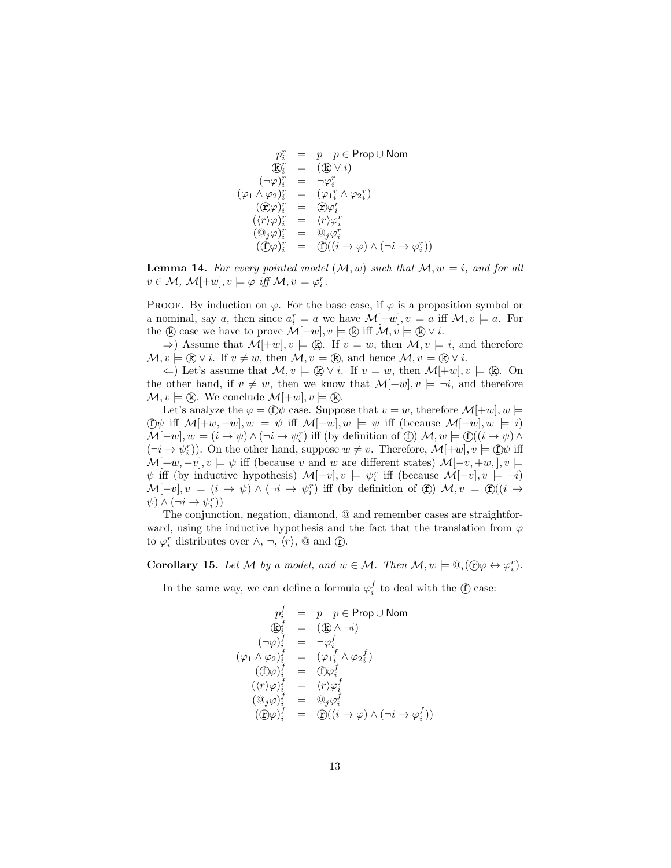$$
p_i^r = p \ p \in \text{Prop} \cup \text{Nom}
$$
  
\n
$$
\textcircled{E}_i^r = (\textcircled{E} \vee i)
$$
  
\n
$$
(\neg \varphi)_i^r = \neg \varphi_i^r
$$
  
\n
$$
(\varphi_1 \wedge \varphi_2)_i^r = (\varphi_1_i^r \wedge \varphi_2_i^r)
$$
  
\n
$$
(\textcircled{E} \varphi)_i^r = \textcircled{E} \varphi_i^r
$$
  
\n
$$
(\langle r \rangle \varphi)_i^r = \langle r \rangle \varphi_i^r
$$
  
\n
$$
(\textcircled{E} \varphi)_i^r = \textcircled{E} ((i \rightarrow \varphi) \wedge (\neg i \rightarrow \varphi_i^r))
$$

**Lemma 14.** For every pointed model  $(M, w)$  such that  $M, w \models i$ , and for all  $v \in \mathcal{M}, \ \mathcal{M}[\pm w], v \models \varphi \ \text{iff} \ \mathcal{M}, v \models \varphi_i^r.$ 

PROOF. By induction on  $\varphi$ . For the base case, if  $\varphi$  is a proposition symbol or a nominal, say a, then since  $a_i^r = a$  we have  $\mathcal{M}[\pm w], v \models a$  iff  $\mathcal{M}, v \models a$ . For the  $\mathbb{R}$  case we have to prove  $\mathcal{M}[\pm w], v \models \mathbb{R}$  iff  $\mathcal{M}, v \models \mathbb{R} \vee i$ .

 $\Rightarrow$ ) Assume that  $\mathcal{M}[\pm w], v \models \mathbb{R}$ . If  $v = w$ , then  $\mathcal{M}, v \models i$ , and therefore  $\mathcal{M}, v \models (\mathbb{R}) \vee i$ . If  $v \neq w$ , then  $\mathcal{M}, v \models (\mathbb{R})$ , and hence  $\mathcal{M}, v \models (\mathbb{R}) \vee i$ .

 $\Leftarrow$ ) Let's assume that  $\mathcal{M}, v \models \mathbb{R} \vee i$ . If  $v = w$ , then  $\mathcal{M}[\pm w], v \models \mathbb{R}$ . On the other hand, if  $v \neq w$ , then we know that  $\mathcal{M}[\pm w], v \models \neg i$ , and therefore  $\mathcal{M}, v \models \mathbb{R}$ . We conclude  $\mathcal{M}[\pm w], v \models \mathbb{R}$ .

Let's analyze the  $\varphi = \langle f \rangle \psi$  case. Suppose that  $v = w$ , therefore  $\mathcal{M}[\pm w], w \models$ (f)  $\psi$  iff  $\mathcal{M}$ [+w, −w],  $w \models \psi$  iff  $\mathcal{M}$ [−w],  $w \models \psi$  iff (because  $\mathcal{M}$ [−w],  $w \models i$ )  $\mathcal{M}[-w], w \models (i \to \psi) \land (\neg i \to \psi_i^r)$  iff (by definition of  $\textcircled{f})$ )  $\mathcal{M}, w \models \textcircled{f}((i \to \psi) \land \textcircled{f})$  $(\neg i \rightarrow \psi_i^r)$ ). On the other hand, suppose  $w \neq v$ . Therefore,  $\mathcal{M}[\pm w], v \models \text{f} \psi$  iff  $\mathcal{M}[\pm w, -v], v \models \psi$  iff (because v and w are different states)  $\mathcal{M}[-v, +w, ], v \models$  $\psi$  iff (by inductive hypothesis)  $\mathcal{M}[-v], v \models \psi_i^r$  iff (because  $\mathcal{M}[-v], v \models \neg i$ )  $\mathcal{M}[-v], v \models (i \to \psi) \land (\neg i \to \psi_i^r)$  iff (by definition of  $\circled$ )  $\mathcal{M}, v \models \circled$  ( $(i \to \psi)$ )  $\psi$ )  $\wedge (\neg i \rightarrow \psi_i^r)$ )

The conjunction, negation, diamond, @ and remember cases are straightforward, using the inductive hypothesis and the fact that the translation from  $\varphi$ to  $\varphi_i^r$  distributes over  $\wedge$ ,  $\neg$ ,  $\langle r \rangle$ , @ and  $\circled{r}$ .

**Corollary 15.** Let M by a model, and  $w \in M$ . Then  $M, w \models \mathbb{Q}_i(\mathbb{Q} \varphi \leftrightarrow \varphi_i^r)$ .

In the same way, we can define a formula  $\varphi_i^f$  to deal with the  $\circled$  case:

$$
p_i^f = p \ p \in \text{Prop} \cup \text{Nom}
$$
\n
$$
\mathbb{Q}_i^f = (\mathbb{Q} \land \neg i)
$$
\n
$$
(\neg \varphi)_i^f = \neg \varphi_i^f
$$
\n
$$
(\varphi_1 \land \varphi_2)_i^f = (\varphi_1_i^f \land \varphi_2_i^f)
$$
\n
$$
(\mathbb{D}\varphi)_i^f = \mathbb{D}\varphi_i^f
$$
\n
$$
(\langle r \rangle \varphi)_i^f = \langle r \rangle \varphi_i^f
$$
\n
$$
(\mathbb{Q}_j \varphi)_i^f = \mathbb{Q}_j \varphi_i^f
$$
\n
$$
(\mathbb{D}\varphi)_i^f = \mathbb{Q}((i \to \varphi) \land (\neg i \to \varphi_i^f))
$$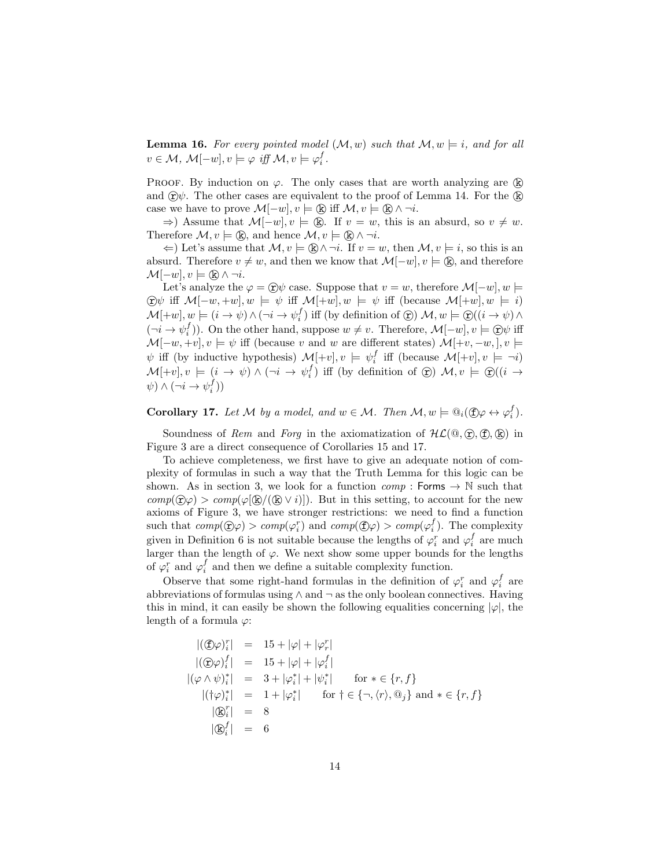**Lemma 16.** For every pointed model  $(M, w)$  such that  $M, w \models i$ , and for all  $v \in \mathcal{M}, \ \mathcal{M}[-w], v \models \varphi \ \text{iff} \ \mathcal{M}, v \models \varphi_i^f.$ 

PROOF. By induction on  $\varphi$ . The only cases that are worth analyzing are  $(\mathbb{R})$ and  $\hat{\mathbf{r}}$ ). The other cases are equivalent to the proof of Lemma 14. For the  $\hat{\mathbf{k}}$ case we have to prove  $\mathcal{M}[-w], v \models (\mathbb{R})$  iff  $\mathcal{M}, v \models (\mathbb{R}) \land \neg i$ .

 $\Rightarrow$ ) Assume that  $\mathcal{M}[-w], v \models \mathbb{R}$ . If  $v = w$ , this is an absurd, so  $v \neq w$ . Therefore  $\mathcal{M}, v \models (\mathbb{R})$ , and hence  $\mathcal{M}, v \models (\mathbb{R}) \land \neg i$ .

 $\Leftarrow$ ) Let's assume that  $\mathcal{M}, v \models \mathbb{R} \land \neg i$ . If  $v = w$ , then  $\mathcal{M}, v \models i$ , so this is an absurd. Therefore  $v \neq w$ , and then we know that  $\mathcal{M}[-w], v \models (\mathbf{k})$ , and therefore  $\mathcal{M}[-w], v \models (\mathbf{k}) \wedge \neg i.$ 

Let's analyze the  $\varphi = \hat{y}\psi$  case. Suppose that  $v = w$ , therefore  $\mathcal{M}[-w], w \models$  $\bigcirc \psi$  iff  $\mathcal{M}[-w, +w], w \models \psi$  iff  $\mathcal{M}[\pm w], w \models \psi$  iff (because  $\mathcal{M}[\pm w], w \models i$ )  $\mathcal{M}[\pm w], w \models (i \to \psi) \land (\neg i \to \psi_i^f)$  iff (by definition of  $\circled{r})$ )  $\mathcal{M}, w \models \circled{r}((i \to \psi) \land$  $(\neg i \rightarrow \psi_i^f)$ ). On the other hand, suppose  $w \neq v$ . Therefore,  $\mathcal{M}[-w], v \models \textcircled{r}\psi$  iff  $\mathcal{M}[-w, +v], v \models \psi$  iff (because v and w are different states)  $\mathcal{M}[\pm v, -w], v \models$  $\psi$  iff (by inductive hypothesis)  $\mathcal{M}[\pm v], v \models \psi_i^f$  iff (because  $\mathcal{M}[\pm v], v \models \neg i$ ) i  $\mathcal{M}[\pm v], v \models (i \to \psi) \land (\neg i \to \psi_i^f)$  iff (by definition of  $\circledx)$ )  $\mathcal{M}, v \models \circledx((i \to \psi_i^f))$  $\psi$ )  $\wedge (\neg i \rightarrow \psi_i^f)$ )

**Corollary 17.** Let M by a model, and  $w \in M$ . Then  $M, w \models \mathbb{Q}_i(\mathbb{C})\varphi \leftrightarrow \varphi_i^f$ .

Soundness of Rem and Forg in the axiomatization of  $HL(@, F), (F), (R)$  in Figure 3 are a direct consequence of Corollaries 15 and 17.

To achieve completeness, we first have to give an adequate notion of complexity of formulas in such a way that the Truth Lemma for this logic can be shown. As in section 3, we look for a function  $comp : \text{Forms} \rightarrow \mathbb{N}$  such that  $comp(\hat{\mathcal{D}}\varphi) > comp(\varphi(\hat{\mathbb{R}}/(\hat{\mathbb{R}} \vee i)))$ . But in this setting, to account for the new axioms of Figure 3, we have stronger restrictions: we need to find a function such that  $comp(\mathcal{D}\varphi) > comp(\varphi_i^r)$  and  $comp(\mathcal{D}\varphi) > comp(\varphi_i^f)$ . The complexity given in Definition 6 is not suitable because the lengths of  $\varphi_i^r$  and  $\varphi_i^f$  are much larger than the length of  $\varphi$ . We next show some upper bounds for the lengths of  $\varphi_i^r$  and  $\varphi_i^f$  and then we define a suitable complexity function.

Observe that some right-hand formulas in the definition of  $\varphi_i^r$  and  $\varphi_i^f$  are abbreviations of formulas using ∧ and ¬ as the only boolean connectives. Having this in mind, it can easily be shown the following equalities concerning  $|\varphi|$ , the length of a formula  $\varphi$ :

$$
|(\mathbb{D}\varphi)_i^r| = 15 + |\varphi| + |\varphi_r^r|
$$
  
\n
$$
|(\mathbb{D}\varphi)_i^f| = 15 + |\varphi| + |\varphi_i^f|
$$
  
\n
$$
|(\varphi \wedge \psi)_i^*| = 3 + |\varphi_i^*| + |\psi_i^*| \quad \text{for } * \in \{r, f\}
$$
  
\n
$$
|(\dagger \varphi)_i^*| = 1 + |\varphi_i^*| \quad \text{for } \dagger \in \{-, \langle r \rangle, \mathbb{Q}_j\} \text{ and } * \in \{r, f\}
$$
  
\n
$$
|\mathbb{D}_i^r| = 8
$$
  
\n
$$
|\mathbb{D}_i^f| = 6
$$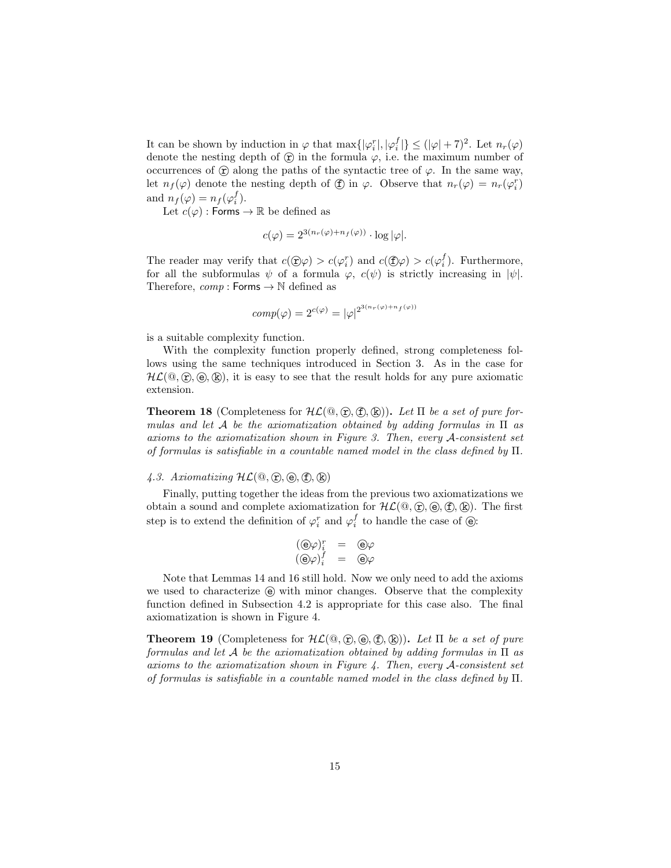It can be shown by induction in  $\varphi$  that  $\max\{|\varphi_i^r|, |\varphi_i^f|\} \leq (|\varphi| + 7)^2$ . Let  $n_r(\varphi)$ denote the nesting depth of  $\circledcirc$  in the formula  $\varphi$ , i.e. the maximum number of occurrences of  $\hat{\mathbf{r}}$  along the paths of the syntactic tree of  $\varphi$ . In the same way, let  $n_f(\varphi)$  denote the nesting depth of  $\textcircled{f}$  in  $\varphi$ . Observe that  $n_r(\varphi) = n_r(\varphi_i^r)$ and  $n_f(\varphi) = n_f(\varphi_i^f)$ .

Let  $c(\varphi)$ : Forms  $\to \mathbb{R}$  be defined as

$$
c(\varphi) = 2^{3(n_r(\varphi) + n_f(\varphi))} \cdot \log |\varphi|.
$$

The reader may verify that  $c(\mathcal{D}\varphi) > c(\varphi_i^r)$  and  $c(\mathcal{D}\varphi) > c(\varphi_i^f)$ . Furthermore, for all the subformulas  $\psi$  of a formula  $\varphi$ ,  $c(\psi)$  is strictly increasing in  $|\psi|$ . Therefore,  $comp : \text{Forms} \rightarrow \mathbb{N}$  defined as

$$
comp(\varphi) = 2^{c(\varphi)} = |\varphi|^{2^{3(n_r(\varphi) + n_f(\varphi))}}
$$

is a suitable complexity function.

With the complexity function properly defined, strong completeness follows using the same techniques introduced in Section 3. As in the case for  $HL(\mathbb{Q}, \mathbb{C}, \mathbb{Q}, \mathbb{R})$ , it is easy to see that the result holds for any pure axiomatic extension.

**Theorem 18** (Completeness for  $H\mathcal{L}(\mathbb{Q}, \hat{\mathbb{T}}, \mathbb{F}), (\mathbb{R}))$ ). Let  $\Pi$  be a set of pure formulas and let A be the axiomatization obtained by adding formulas in Π as axioms to the axiomatization shown in Figure 3. Then, every A-consistent set of formulas is satisfiable in a countable named model in the class defined by  $\Pi$ .

## 4.3. Axiomatizing  $HL(\mathbb{Q}, \mathbb{F}, \mathbb{e}), \mathbb{f}, \mathbb{R})$

Finally, putting together the ideas from the previous two axiomatizations we obtain a sound and complete axiomatization for  $HL(\mathbb{Q}, \mathbb{C}, \mathbb{C}, \mathbb{C})$ . The first step is to extend the definition of  $\varphi_i^r$  and  $\varphi_i^f$  to handle the case of  $\circlede$ :

$$
\begin{array}{rcl} (\textcircled{e}\varphi)^r_i &=& \textcircled{e}\varphi\\ (\textcircled{e}\varphi)^f_i &=& \textcircled{e}\varphi \end{array}
$$

Note that Lemmas 14 and 16 still hold. Now we only need to add the axioms we used to characterize  $\Theta$  with minor changes. Observe that the complexity function defined in Subsection 4.2 is appropriate for this case also. The final axiomatization is shown in Figure 4.

**Theorem 19** (Completeness for  $HL(\mathbb{Q}, \mathbb{Q}, \mathbb{Q}, \mathbb{Q}, \mathbb{Q}))$ ). Let  $\Pi$  be a set of pure formulas and let A be the axiomatization obtained by adding formulas in  $\Pi$  as axioms to the axiomatization shown in Figure 4. Then, every A-consistent set of formulas is satisfiable in a countable named model in the class defined by Π.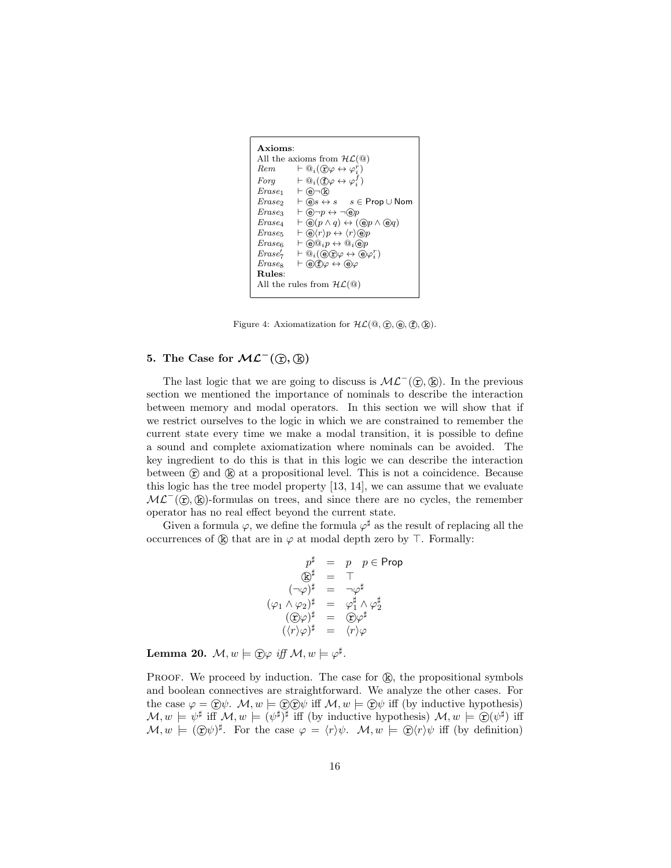```
Axioms:
All the axioms from H\mathcal{L}(\mathbb{Q})Rem \t\vdash @_{i}(\mathbf{\hat{y}\varphi} \leftrightarrow \varphi_{i}^{r})Forg \vdash \mathbb{Q}_i(\bigoplus \varphi \leftrightarrow \varphi_i^{\overline{f}})\mathit{Erase}_1 \vdash \bigoplus \neg \&Erase<sub>2</sub> \vdash \textcircled{e}s \leftrightarrow s \quad s \in \text{Prop} \cup \text{Nom}<br>Erase<sub>3</sub> \vdash \textcircled{e}\neg p \leftrightarrow \neg \textcircled{e}p\begin{array}{ll}\n\text{Erase}_3 & \vdash @ \neg p \leftrightarrow \neg @ p \\
\text{Erase}_4 & \vdash @ (p \land q) \leftrightarrow (\neg \Box) \n\end{array}Erase<sub>4</sub> \vdash \bigcircledast(p \land q) \leftrightarrow (\bigcircledast p \land \bigcircledast q)<br>Erase<sub>5</sub> \vdash \bigcircledast(r)p \leftrightarrow \langle r \rangle \bigcircledast p\vdash \bigcircled{\scriptstyle\theta} \langle r \rangle p \leftrightarrow \langle r \rangle \bigcirc p\text{E} \text{rase}_6 \quad \vdash @ @_{i} p \leftrightarrow @_{i} @_{p}Erase'_7\mathcal{P}'_7 \vdash \overline{\mathcal{Q}}_i(\mathcal{O} \mathcal{O} \varphi \leftrightarrow \mathcal{O} \varphi_i^r)\label{eq:ex1} \begin{array}{ll} \textit{Erase}_8 & \; \vdash @ \textsf{fp} \leftrightarrow @ \varphi \end{array}Rules:
All the rules from H\mathcal{L}(\mathbb{Q})
```
Figure 4: Axiomatization for  $\mathcal{HL}(\mathbb{Q}, \mathbb{C}), \mathbb{G}, \mathbb{C})$ .

## 5. The Case for  $ML^-(\mathcal{D}, \mathbb{R})$

The last logic that we are going to discuss is  $\mathcal{ML}^-(\hat{\mathbf{T}}, \hat{\mathbf{R}})$ . In the previous section we mentioned the importance of nominals to describe the interaction between memory and modal operators. In this section we will show that if we restrict ourselves to the logic in which we are constrained to remember the current state every time we make a modal transition, it is possible to define a sound and complete axiomatization where nominals can be avoided. The key ingredient to do this is that in this logic we can describe the interaction between  $\circled{r}$  and  $\circled{k}$  at a propositional level. This is not a coincidence. Because this logic has the tree model property [13, 14], we can assume that we evaluate  $ML^-(\hat{\mathbf{r}}, \hat{\mathbf{k}})$ -formulas on trees, and since there are no cycles, the remember operator has no real effect beyond the current state.

Given a formula  $\varphi$ , we define the formula  $\varphi^{\sharp}$  as the result of replacing all the occurrences of  $\&$  that are in  $\varphi$  at modal depth zero by  $\top$ . Formally:

$$
p^{\sharp} = p \quad p \in \text{Prop}
$$
  
\n
$$
\textcircled{E}^{\sharp} = \top
$$
  
\n
$$
(\neg \varphi)^{\sharp} = \neg \varphi^{\sharp}
$$
  
\n
$$
(\varphi_1 \land \varphi_2)^{\sharp} = \varphi_1^{\sharp} \land \varphi_2^{\sharp}
$$
  
\n
$$
(\textcircled{E}\varphi)^{\sharp} = \textcircled{E}\varphi^{\sharp}
$$
  
\n
$$
(\langle r \rangle \varphi)^{\sharp} = \langle r \rangle \varphi
$$

Lemma 20.  $\mathcal{M}, w \models \textcircled{r}\varphi \text{ iff } \mathcal{M}, w \models \varphi^{\sharp}.$ 

PROOF. We proceed by induction. The case for  $(\mathbb{R})$ , the propositional symbols and boolean connectives are straightforward. We analyze the other cases. For the case  $\varphi = \widehat{r} \psi$ .  $\mathcal{M}, w \models \widehat{r} \widehat{r} \psi$  iff  $\mathcal{M}, w \models \widehat{r} \psi$  iff (by inductive hypothesis)  $\mathcal{M}, w \models \psi^{\sharp}$  iff  $\mathcal{M}, w \models (\psi^{\sharp})^{\sharp}$  iff (by inductive hypothesis)  $\mathcal{M}, w \models \mathfrak{D}(\psi^{\sharp})$  iff  $\mathcal{M}, w \models (\mathfrak{D}\psi)^{\sharp}$ . For the case  $\varphi = \langle r \rangle \psi$ .  $\mathcal{M}, w \models \mathfrak{D}\langle r \rangle \psi$  iff (by definition)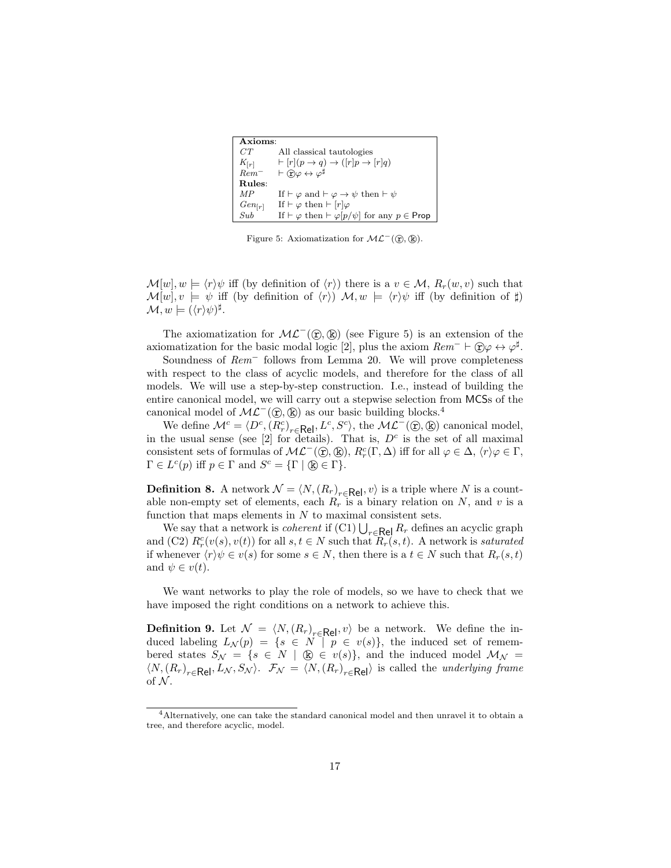```
Axioms:
\label{eq:CT} \begin{array}{ll} CT & \quad \text{All classical tautologies} \\ K_{\text{Irrl}} & \quad \, \vdash [r](p \rightarrow q) \rightarrow ([r]p \rightarrow \end{array}K_{[r]} \vdash [r](p \rightarrow q) \rightarrow ([r]p \rightarrow [r]q)<br>
Rem^- \vdash \bigcirc \phi \leftrightarrow \varphi^{\sharp}Rem^- \vdash \oplus \varphi \leftrightarrow \varphi^{\sharp}Rules:
MP If \vdash \varphi and \vdash \varphi \rightarrow \psi then \vdash \psi\begin{array}{l} Gen_{[r]}\\ Sub \end{array}If \vdash \varphi then \vdash [r]\varphiIf \vdash \varphi then \vdash \varphi[p/\psi] for any p \in \mathsf{Prop}
```
Figure 5: Axiomatization for  $\mathcal{ML}^-(\mathcal{D}, \mathbb{R})$ .

 $\mathcal{M}[w], w \models \langle r \rangle \psi$  iff (by definition of  $\langle r \rangle$ ) there is a  $v \in \mathcal{M}, R_r(w, v)$  such that  $\mathcal{M}[w], v \models \psi$  iff (by definition of  $\langle r \rangle$ )  $\mathcal{M}, w \models \langle r \rangle \psi$  iff (by definition of  $\sharp$ )  $\mathcal{M}, w \models (\langle r \rangle \psi)^{\sharp}.$ 

The axiomatization for  $ML^{-}(\hat{\mathbf{r}}, \hat{\mathbf{k}})$  (see Figure 5) is an extension of the axiomatization for the basic modal logic [2], plus the axiom  $Rem^- \vdash \bigcirc \varphi \leftrightarrow \varphi^{\sharp}$ .

Soundness of Rem<sup>−</sup> follows from Lemma 20. We will prove completeness with respect to the class of acyclic models, and therefore for the class of all models. We will use a step-by-step construction. I.e., instead of building the entire canonical model, we will carry out a stepwise selection from MCSs of the canonical model of  $ML^-(\hat{\mathbf{r}}, \hat{\mathbf{k}})$  as our basic building blocks.<sup>4</sup>

We define  $\mathcal{M}^c = \langle D^c, (R^c_r)_{r \in \mathsf{Rel}}, L^c, S^c \rangle$ , the  $\mathcal{ML}^-(\mathfrak{D}, \mathbb{Q})$  canonical model, in the usual sense (see [2] for details). That is,  $D<sup>c</sup>$  is the set of all maximal consistent sets of formulas of  $\mathcal{ML}^-(\hat{\mathfrak{D}}, \mathbb{R})$ ,  $R_r^c(\Gamma, \Delta)$  iff for all  $\varphi \in \Delta$ ,  $\langle r \rangle \varphi \in \Gamma$ ,  $\Gamma \in L^c(p)$  iff  $p \in \Gamma$  and  $S^c = {\{\Gamma \mid \mathbb{Q} \in \Gamma\}}.$ 

**Definition 8.** A network  $\mathcal{N} = \langle N, (R_r)_{r \in \mathsf{Rel}}, v \rangle$  is a triple where N is a countable non-empty set of elements, each  $R_r$  is a binary relation on N, and v is a function that maps elements in  $N$  to maximal consistent sets.

We say that a network is *coherent* if  $(Cl) \bigcup_{r \in \mathsf{Rel}} R_r$  defines an acyclic graph and (C2)  $R_r^c(v(s), v(t))$  for all  $s, t \in N$  such that  $R_r(s, t)$ . A network is saturated if whenever  $\langle r \rangle \psi \in v(s)$  for some  $s \in N$ , then there is a  $t \in N$  such that  $R_r(s, t)$ and  $\psi \in v(t)$ .

We want networks to play the role of models, so we have to check that we have imposed the right conditions on a network to achieve this.

**Definition 9.** Let  $\mathcal{N} = \langle N, (R_r)_{r \in \mathsf{Rel}}, v \rangle$  be a network. We define the induced labeling  $L_{\mathcal{N}}(p) = \{s \in N \mid p \in v(s)\},\$  the induced set of remembered states  $S_{\mathcal{N}} = \{s \in N \mid \mathcal{R} \in v(s)\},\$ and the induced model  $\mathcal{M}_{\mathcal{N}} =$  $\langle N, (R_r)_{r \in \text{Rel}}, L_N, S_N \rangle$ .  $\mathcal{F}_N = \langle N, (R_r)_{r \in \text{Rel}} \rangle$  is called the underlying frame of  $N$ .

<sup>4</sup>Alternatively, one can take the standard canonical model and then unravel it to obtain a tree, and therefore acyclic, model.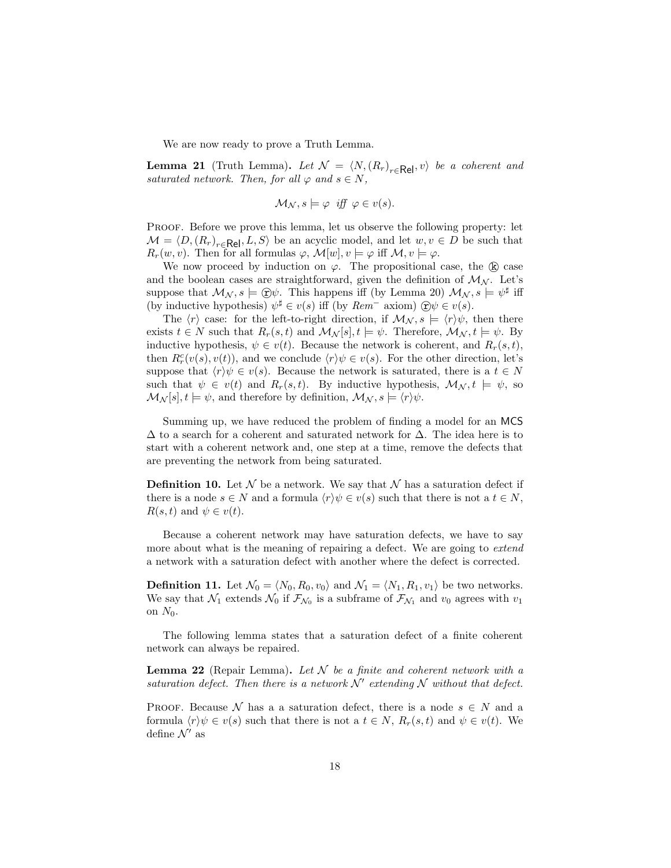We are now ready to prove a Truth Lemma.

**Lemma 21** (Truth Lemma). Let  $\mathcal{N} = \langle N, (R_r)_{r \in \mathsf{Rel}}, v \rangle$  be a coherent and saturated network. Then, for all  $\varphi$  and  $s \in N$ ,

$$
\mathcal{M}_{\mathcal{N}}, s \models \varphi \text{ iff } \varphi \in v(s).
$$

PROOF. Before we prove this lemma, let us observe the following property: let  $\mathcal{M} = \langle D, (R_r)_{r \in \mathsf{Rel}}, L, S \rangle$  be an acyclic model, and let  $w, v \in D$  be such that  $R_r(w, v)$ . Then for all formulas  $\varphi$ ,  $\mathcal{M}[w], v \models \varphi$  iff  $\mathcal{M}, v \models \varphi$ .

We now proceed by induction on  $\varphi$ . The propositional case, the  $\circledR$  case and the boolean cases are straightforward, given the definition of  $\mathcal{M}_{N}$ . Let's suppose that  $\mathcal{M}_{\mathcal{N}}$ ,  $s \models \bigoplus \psi$ . This happens iff (by Lemma 20)  $\mathcal{M}_{\mathcal{N}}$ ,  $s \models \psi^{\sharp}$  iff (by inductive hypothesis)  $\psi^{\sharp} \in v(s)$  iff (by  $Rem^{-}$  axiom)  $\mathfrak{D}\psi \in v(s)$ .

The  $\langle r \rangle$  case: for the left-to-right direction, if  $\mathcal{M}_{\mathcal{N}}$ ,  $s \models \langle r \rangle \psi$ , then there exists  $t \in N$  such that  $R_r(s,t)$  and  $\mathcal{M}_N[s], t \models \psi$ . Therefore,  $\mathcal{M}_N, t \models \psi$ . By inductive hypothesis,  $\psi \in v(t)$ . Because the network is coherent, and  $R_r(s,t)$ , then  $R_r^c(v(s), v(t))$ , and we conclude  $\langle r \rangle \psi \in v(s)$ . For the other direction, let's suppose that  $\langle r \rangle \psi \in v(s)$ . Because the network is saturated, there is a  $t \in N$ such that  $\psi \in v(t)$  and  $R_r(s,t)$ . By inductive hypothesis,  $\mathcal{M}_{\mathcal{N}}$ ,  $t \models \psi$ , so  $\mathcal{M}_{\mathcal{N}}[s], t \models \psi$ , and therefore by definition,  $\mathcal{M}_{\mathcal{N}}$ ,  $s \models \langle r \rangle \psi$ .

Summing up, we have reduced the problem of finding a model for an MCS  $\Delta$  to a search for a coherent and saturated network for  $\Delta$ . The idea here is to start with a coherent network and, one step at a time, remove the defects that are preventing the network from being saturated.

**Definition 10.** Let  $\mathcal N$  be a network. We say that  $\mathcal N$  has a saturation defect if there is a node  $s \in N$  and a formula  $\langle r \rangle \psi \in v(s)$  such that there is not a  $t \in N$ ,  $R(s, t)$  and  $\psi \in v(t)$ .

Because a coherent network may have saturation defects, we have to say more about what is the meaning of repairing a defect. We are going to *extend* a network with a saturation defect with another where the defect is corrected.

**Definition 11.** Let  $\mathcal{N}_0 = \langle N_0, R_0, v_0 \rangle$  and  $\mathcal{N}_1 = \langle N_1, R_1, v_1 \rangle$  be two networks. We say that  $\mathcal{N}_1$  extends  $\mathcal{N}_0$  if  $\mathcal{F}_{\mathcal{N}_0}$  is a subframe of  $\mathcal{F}_{\mathcal{N}_1}$  and  $v_0$  agrees with  $v_1$ on  $N_0$ .

The following lemma states that a saturation defect of a finite coherent network can always be repaired.

**Lemma 22** (Repair Lemma). Let  $N$  be a finite and coherent network with a saturation defect. Then there is a network  $\mathcal{N}'$  extending  $\mathcal N$  without that defect.

PROOF. Because  $\mathcal N$  has a a saturation defect, there is a node  $s \in \mathbb N$  and a formula  $\langle r \rangle \psi \in v(s)$  such that there is not a  $t \in N$ ,  $R_r(s,t)$  and  $\psi \in v(t)$ . We define  $\mathcal{N}'$  as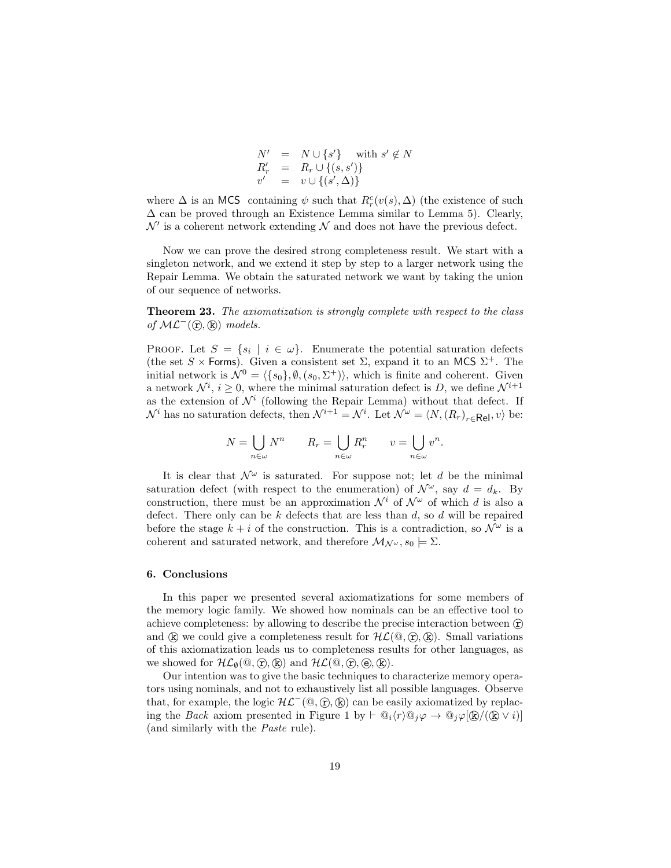$$
N' = N \cup \{s'\} \text{ with } s' \notin N
$$
  
\n
$$
R'_r = R_r \cup \{(s, s')\}
$$
  
\n
$$
v' = v \cup \{(s', \Delta)\}
$$

where  $\Delta$  is an MCS containing  $\psi$  such that  $R_r^c(v(s), \Delta)$  (the existence of such  $\Delta$  can be proved through an Existence Lemma similar to Lemma 5). Clearly,  $\mathcal{N}'$  is a coherent network extending  $\mathcal N$  and does not have the previous defect.

Now we can prove the desired strong completeness result. We start with a singleton network, and we extend it step by step to a larger network using the Repair Lemma. We obtain the saturated network we want by taking the union of our sequence of networks.

**Theorem 23.** The axiomatization is strongly complete with respect to the class of  $ML^-(\mathcal{F}, \mathcal{R})$  models.

PROOF. Let  $S = \{s_i \mid i \in \omega\}$ . Enumerate the potential saturation defects (the set  $S \times$  Forms). Given a consistent set  $\Sigma$ , expand it to an MCS  $\Sigma^+$ . The initial network is  $\mathcal{N}^0 = \langle \{s_0\}, \emptyset, (s_0, \Sigma^+) \rangle$ , which is finite and coherent. Given a network  $\mathcal{N}^i$ ,  $i \geq 0$ , where the minimal saturation defect is D, we define  $\mathcal{N}^{i+1}$ as the extension of  $\mathcal{N}^i$  (following the Repair Lemma) without that defect. If  $\mathcal{N}^i$  has no saturation defects, then  $\mathcal{N}^{i+1} = \mathcal{N}^i$ . Let  $\mathcal{N}^{\omega} = \langle N, (R_r)_{r \in \mathsf{Rel}}, v \rangle$  be:

$$
N = \bigcup_{n \in \omega} N^n \qquad R_r = \bigcup_{n \in \omega} R_r^n \qquad v = \bigcup_{n \in \omega} v^n.
$$

It is clear that  $\mathcal{N}^{\omega}$  is saturated. For suppose not; let d be the minimal saturation defect (with respect to the enumeration) of  $\mathcal{N}^{\omega}$ , say  $d = d_k$ . By construction, there must be an approximation  $\mathcal{N}^i$  of  $\mathcal{N}^{\omega}$  of which d is also a defect. There only can be k defects that are less than  $d$ , so  $d$  will be repaired before the stage  $k + i$  of the construction. This is a contradiction, so  $\mathcal{N}^{\omega}$  is a coherent and saturated network, and therefore  $\mathcal{M}_{\mathcal{N}^{\omega}}, s_0 \models \Sigma$ .

### 6. Conclusions

In this paper we presented several axiomatizations for some members of the memory logic family. We showed how nominals can be an effective tool to achieve completeness: by allowing to describe the precise interaction between  $(\hat{r})$ and  $(\mathbf{k})$  we could give a completeness result for  $\mathcal{HL}(\mathbb{Q}, \mathbb{F})$ ,  $(\mathbf{k})$ . Small variations of this axiomatization leads us to completeness results for other languages, as we showed for  $\mathcal{HL}_{\emptyset}(\mathbb{Q}, \mathbb{C}), \mathbb{R})$  and  $\mathcal{HL}(\mathbb{Q}, \mathbb{C}), \mathbb{R}$ .

Our intention was to give the basic techniques to characterize memory operators using nominals, and not to exhaustively list all possible languages. Observe that, for example, the logic  $\mathcal{HL}^-(\mathbb{Q}, \mathbb{F}, \mathbb{R})$  can be easily axiomatized by replacing the *Back* axiom presented in Figure 1 by  $\vdash \mathbb{Q}_i \langle r \rangle \mathbb{Q}_j \varphi \to \mathbb{Q}_j \varphi[\mathbb{Q}/(\mathbb{Q} \vee i)]$ (and similarly with the Paste rule).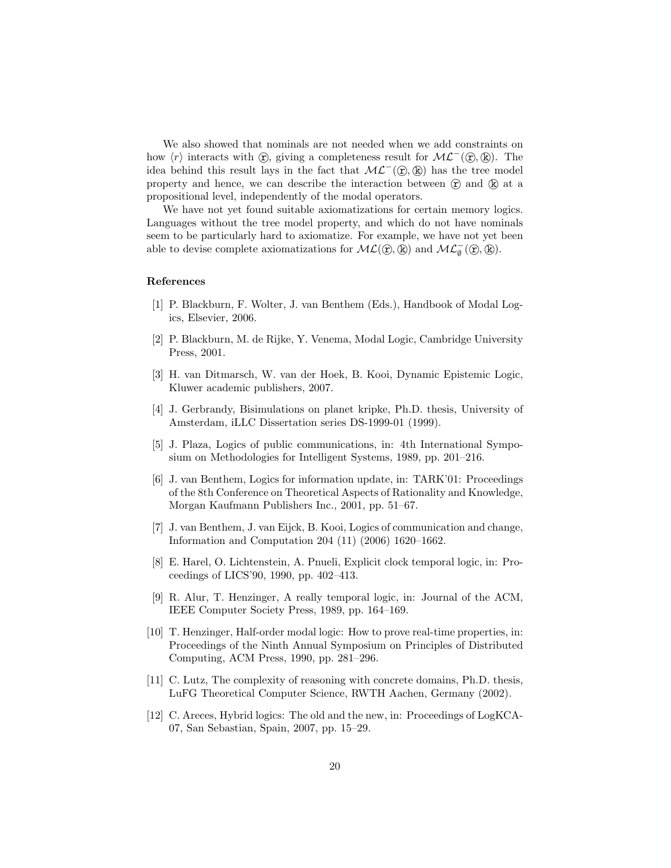We also showed that nominals are not needed when we add constraints on how  $\langle r \rangle$  interacts with  $\hat{\mathcal{L}}$ , giving a completeness result for  $\mathcal{ML}^-(\hat{\mathcal{L}}, \hat{\mathcal{R}})$ . The idea behind this result lays in the fact that  $\mathcal{ML}^-(\hat{\mathbf{x}},\hat{\mathbf{k}})$  has the tree model property and hence, we can describe the interaction between  $(\hat{r})$  and  $(\hat{k})$  at a propositional level, independently of the modal operators.

We have not yet found suitable axiomatizations for certain memory logics. Languages without the tree model property, and which do not have nominals seem to be particularly hard to axiomatize. For example, we have not yet been able to devise complete axiomatizations for  $ML(\mathbb{C}, \mathbb{R})$  and  $ML_{\emptyset}^-(\mathbb{C}, \mathbb{R})$ .

### References

- [1] P. Blackburn, F. Wolter, J. van Benthem (Eds.), Handbook of Modal Logics, Elsevier, 2006.
- [2] P. Blackburn, M. de Rijke, Y. Venema, Modal Logic, Cambridge University Press, 2001.
- [3] H. van Ditmarsch, W. van der Hoek, B. Kooi, Dynamic Epistemic Logic, Kluwer academic publishers, 2007.
- [4] J. Gerbrandy, Bisimulations on planet kripke, Ph.D. thesis, University of Amsterdam, iLLC Dissertation series DS-1999-01 (1999).
- [5] J. Plaza, Logics of public communications, in: 4th International Symposium on Methodologies for Intelligent Systems, 1989, pp. 201–216.
- [6] J. van Benthem, Logics for information update, in: TARK'01: Proceedings of the 8th Conference on Theoretical Aspects of Rationality and Knowledge, Morgan Kaufmann Publishers Inc., 2001, pp. 51–67.
- [7] J. van Benthem, J. van Eijck, B. Kooi, Logics of communication and change, Information and Computation 204 (11) (2006) 1620–1662.
- [8] E. Harel, O. Lichtenstein, A. Pnueli, Explicit clock temporal logic, in: Proceedings of LICS'90, 1990, pp. 402–413.
- [9] R. Alur, T. Henzinger, A really temporal logic, in: Journal of the ACM, IEEE Computer Society Press, 1989, pp. 164–169.
- [10] T. Henzinger, Half-order modal logic: How to prove real-time properties, in: Proceedings of the Ninth Annual Symposium on Principles of Distributed Computing, ACM Press, 1990, pp. 281–296.
- [11] C. Lutz, The complexity of reasoning with concrete domains, Ph.D. thesis, LuFG Theoretical Computer Science, RWTH Aachen, Germany (2002).
- [12] C. Areces, Hybrid logics: The old and the new, in: Proceedings of LogKCA-07, San Sebastian, Spain, 2007, pp. 15–29.